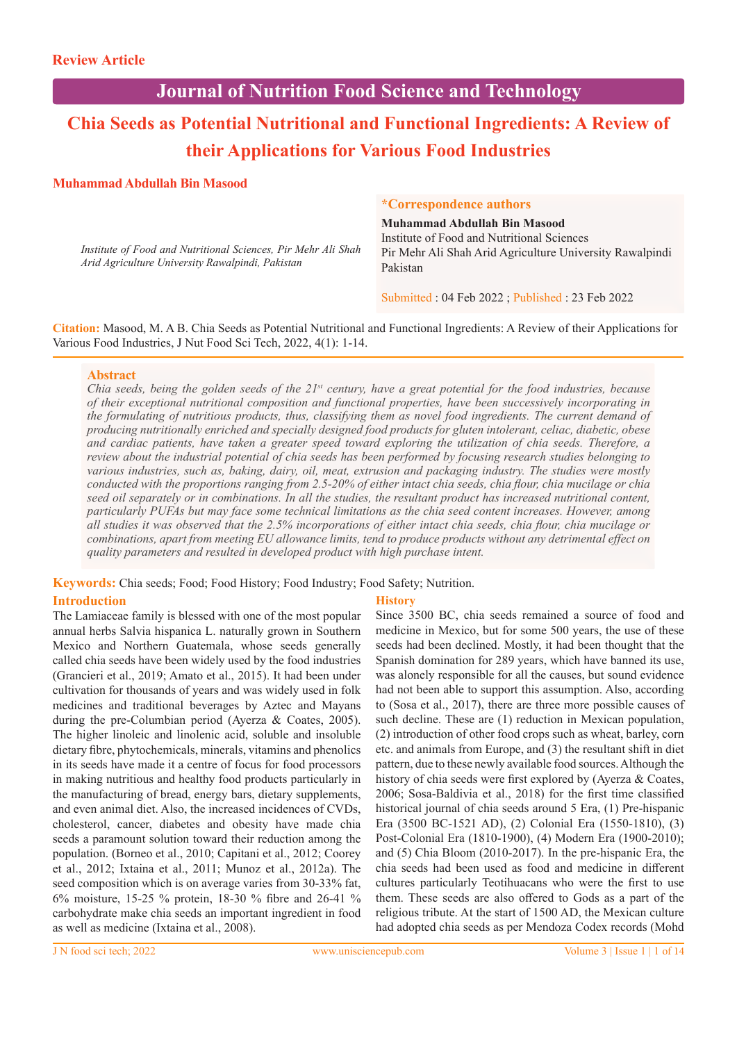## **Journal of Nutrition Food Science and Technology**

# **Chia Seeds as Potential Nutritional and Functional Ingredients: A Review of their Applications for Various Food Industries**

## **Muhammad Abdullah Bin Masood**

*Institute of Food and Nutritional Sciences, Pir Mehr Ali Shah Arid Agriculture University Rawalpindi, Pakistan*

#### **\*Correspondence authors**

**Muhammad Abdullah Bin Masood** Institute of Food and Nutritional Sciences Pir Mehr Ali Shah Arid Agriculture University Rawalpindi Pakistan

Submitted : 04 Feb 2022 ; Published : 23 Feb 2022

**Citation:** Masood, M. A B. Chia Seeds as Potential Nutritional and Functional Ingredients: A Review of their Applications for Various Food Industries, J Nut Food Sci Tech, 2022, 4(1): 1-14.

## **Abstract**

*Chia seeds, being the golden seeds of the 21st century, have a great potential for the food industries, because of their exceptional nutritional composition and functional properties, have been successively incorporating in the formulating of nutritious products, thus, classifying them as novel food ingredients. The current demand of producing nutritionally enriched and specially designed food products for gluten intolerant, celiac, diabetic, obese and cardiac patients, have taken a greater speed toward exploring the utilization of chia seeds. Therefore, a review about the industrial potential of chia seeds has been performed by focusing research studies belonging to various industries, such as, baking, dairy, oil, meat, extrusion and packaging industry. The studies were mostly conducted with the proportions ranging from 2.5-20% of either intact chia seeds, chia flour, chia mucilage or chia seed oil separately or in combinations. In all the studies, the resultant product has increased nutritional content, particularly PUFAs but may face some technical limitations as the chia seed content increases. However, among all studies it was observed that the 2.5% incorporations of either intact chia seeds, chia flour, chia mucilage or combinations, apart from meeting EU allowance limits, tend to produce products without any detrimental effect on quality parameters and resulted in developed product with high purchase intent.*

## **Keywords:** Chia seeds; Food; Food History; Food Industry; Food Safety; Nutrition.

## **Introduction**

The Lamiaceae family is blessed with one of the most popular annual herbs Salvia hispanica L. naturally grown in Southern Mexico and Northern Guatemala, whose seeds generally called chia seeds have been widely used by the food industries (Grancieri et al., 2019; Amato et al., 2015). It had been under cultivation for thousands of years and was widely used in folk medicines and traditional beverages by Aztec and Mayans during the pre-Columbian period (Ayerza & Coates, 2005). The higher linoleic and linolenic acid, soluble and insoluble dietary fibre, phytochemicals, minerals, vitamins and phenolics in its seeds have made it a centre of focus for food processors in making nutritious and healthy food products particularly in the manufacturing of bread, energy bars, dietary supplements, and even animal diet. Also, the increased incidences of CVDs, cholesterol, cancer, diabetes and obesity have made chia seeds a paramount solution toward their reduction among the population. (Borneo et al., 2010; Capitani et al., 2012; Coorey et al., 2012; Ixtaina et al., 2011; Munoz et al., 2012a). The seed composition which is on average varies from 30-33% fat, 6% moisture, 15-25 % protein, 18-30 % fibre and 26-41 % carbohydrate make chia seeds an important ingredient in food as well as medicine (Ixtaina et al., 2008).

## **History**

Since 3500 BC, chia seeds remained a source of food and medicine in Mexico, but for some 500 years, the use of these seeds had been declined. Mostly, it had been thought that the Spanish domination for 289 years, which have banned its use, was alonely responsible for all the causes, but sound evidence had not been able to support this assumption. Also, according to (Sosa et al., 2017), there are three more possible causes of such decline. These are (1) reduction in Mexican population, (2) introduction of other food crops such as wheat, barley, corn etc. and animals from Europe, and (3) the resultant shift in diet pattern, due to these newly available food sources. Although the history of chia seeds were first explored by (Ayerza & Coates, 2006; Sosa-Baldivia et al., 2018) for the first time classified historical journal of chia seeds around 5 Era, (1) Pre-hispanic Era (3500 BC-1521 AD), (2) Colonial Era (1550-1810), (3) Post-Colonial Era (1810-1900), (4) Modern Era (1900-2010); and (5) Chia Bloom (2010-2017). In the pre-hispanic Era, the chia seeds had been used as food and medicine in different cultures particularly Teotihuacans who were the first to use them. These seeds are also offered to Gods as a part of the religious tribute. At the start of 1500 AD, the Mexican culture had adopted chia seeds as per Mendoza Codex records (Mohd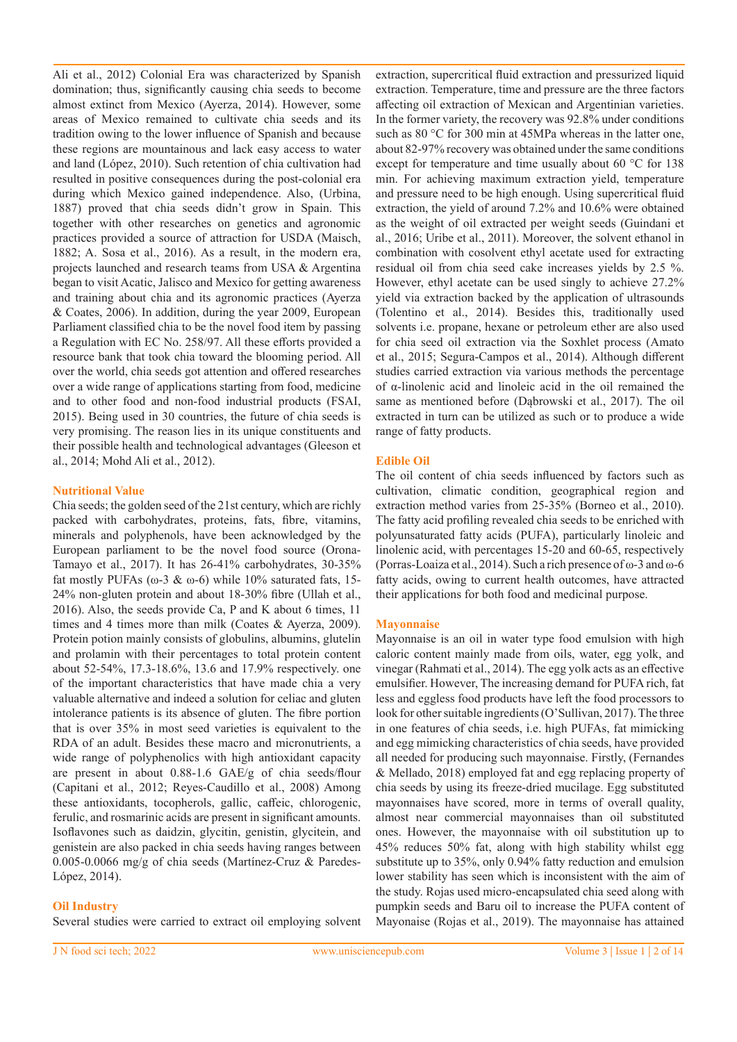Ali et al., 2012) Colonial Era was characterized by Spanish domination; thus, significantly causing chia seeds to become almost extinct from Mexico (Ayerza, 2014). However, some areas of Mexico remained to cultivate chia seeds and its tradition owing to the lower influence of Spanish and because these regions are mountainous and lack easy access to water and land (López, 2010). Such retention of chia cultivation had resulted in positive consequences during the post-colonial era during which Mexico gained independence. Also, (Urbina, 1887) proved that chia seeds didn't grow in Spain. This together with other researches on genetics and agronomic practices provided a source of attraction for USDA (Maisch, 1882; A. Sosa et al., 2016). As a result, in the modern era, projects launched and research teams from USA & Argentina began to visit Acatic, Jalisco and Mexico for getting awareness and training about chia and its agronomic practices (Ayerza & Coates, 2006). In addition, during the year 2009, European Parliament classified chia to be the novel food item by passing a Regulation with EC No. 258/97. All these efforts provided a resource bank that took chia toward the blooming period. All over the world, chia seeds got attention and offered researches over a wide range of applications starting from food, medicine and to other food and non-food industrial products (FSAI, 2015). Being used in 30 countries, the future of chia seeds is very promising. The reason lies in its unique constituents and their possible health and technological advantages (Gleeson et al., 2014; Mohd Ali et al., 2012).

## **Nutritional Value**

Chia seeds; the golden seed of the 21st century, which are richly packed with carbohydrates, proteins, fats, fibre, vitamins, minerals and polyphenols, have been acknowledged by the European parliament to be the novel food source (Orona-Tamayo et al., 2017). It has 26-41% carbohydrates, 30-35% fat mostly PUFAs (ω-3 & ω-6) while 10% saturated fats, 15- 24% non-gluten protein and about 18-30% fibre (Ullah et al., 2016). Also, the seeds provide Ca, P and K about 6 times, 11 times and 4 times more than milk (Coates & Ayerza, 2009). Protein potion mainly consists of globulins, albumins, glutelin and prolamin with their percentages to total protein content about 52-54%, 17.3-18.6%, 13.6 and 17.9% respectively. one of the important characteristics that have made chia a very valuable alternative and indeed a solution for celiac and gluten intolerance patients is its absence of gluten. The fibre portion that is over 35% in most seed varieties is equivalent to the RDA of an adult. Besides these macro and micronutrients, a wide range of polyphenolics with high antioxidant capacity are present in about 0.88-1.6 GAE/g of chia seeds/flour (Capitani et al., 2012; Reyes-Caudillo et al., 2008) Among these antioxidants, tocopherols, gallic, caffeic, chlorogenic, ferulic, and rosmarinic acids are present in significant amounts. Isoflavones such as daidzin, glycitin, genistin, glycitein, and genistein are also packed in chia seeds having ranges between 0.005-0.0066 mg/g of chia seeds (Martínez-Cruz & Paredes-López, 2014).

## **Oil Industry**

Several studies were carried to extract oil employing solvent

extraction, supercritical fluid extraction and pressurized liquid extraction. Temperature, time and pressure are the three factors affecting oil extraction of Mexican and Argentinian varieties. In the former variety, the recovery was 92.8% under conditions such as 80 °C for 300 min at 45MPa whereas in the latter one, about 82-97% recovery was obtained under the same conditions except for temperature and time usually about 60 °C for 138 min. For achieving maximum extraction yield, temperature and pressure need to be high enough. Using supercritical fluid extraction, the yield of around 7.2% and 10.6% were obtained as the weight of oil extracted per weight seeds (Guindani et al., 2016; Uribe et al., 2011). Moreover, the solvent ethanol in combination with cosolvent ethyl acetate used for extracting residual oil from chia seed cake increases yields by 2.5 %. However, ethyl acetate can be used singly to achieve 27.2% yield via extraction backed by the application of ultrasounds (Tolentino et al., 2014). Besides this, traditionally used solvents i.e. propane, hexane or petroleum ether are also used for chia seed oil extraction via the Soxhlet process (Amato et al., 2015; Segura-Campos et al., 2014). Although different studies carried extraction via various methods the percentage of α-linolenic acid and linoleic acid in the oil remained the same as mentioned before (Dąbrowski et al., 2017). The oil extracted in turn can be utilized as such or to produce a wide range of fatty products.

## **Edible Oil**

The oil content of chia seeds influenced by factors such as cultivation, climatic condition, geographical region and extraction method varies from 25-35% (Borneo et al., 2010). The fatty acid profiling revealed chia seeds to be enriched with polyunsaturated fatty acids (PUFA), particularly linoleic and linolenic acid, with percentages 15-20 and 60-65, respectively (Porras-Loaiza et al., 2014). Such a rich presence of ω-3 and ω-6 fatty acids, owing to current health outcomes, have attracted their applications for both food and medicinal purpose.

#### **Mayonnaise**

Mayonnaise is an oil in water type food emulsion with high caloric content mainly made from oils, water, egg yolk, and vinegar (Rahmati et al., 2014). The egg yolk acts as an effective emulsifier. However, The increasing demand for PUFA rich, fat less and eggless food products have left the food processors to look for other suitable ingredients (O'Sullivan, 2017). The three in one features of chia seeds, i.e. high PUFAs, fat mimicking and egg mimicking characteristics of chia seeds, have provided all needed for producing such mayonnaise. Firstly, (Fernandes & Mellado, 2018) employed fat and egg replacing property of chia seeds by using its freeze-dried mucilage. Egg substituted mayonnaises have scored, more in terms of overall quality, almost near commercial mayonnaises than oil substituted ones. However, the mayonnaise with oil substitution up to 45% reduces 50% fat, along with high stability whilst egg substitute up to 35%, only 0.94% fatty reduction and emulsion lower stability has seen which is inconsistent with the aim of the study. Rojas used micro-encapsulated chia seed along with pumpkin seeds and Baru oil to increase the PUFA content of Mayonaise (Rojas et al., 2019). The mayonnaise has attained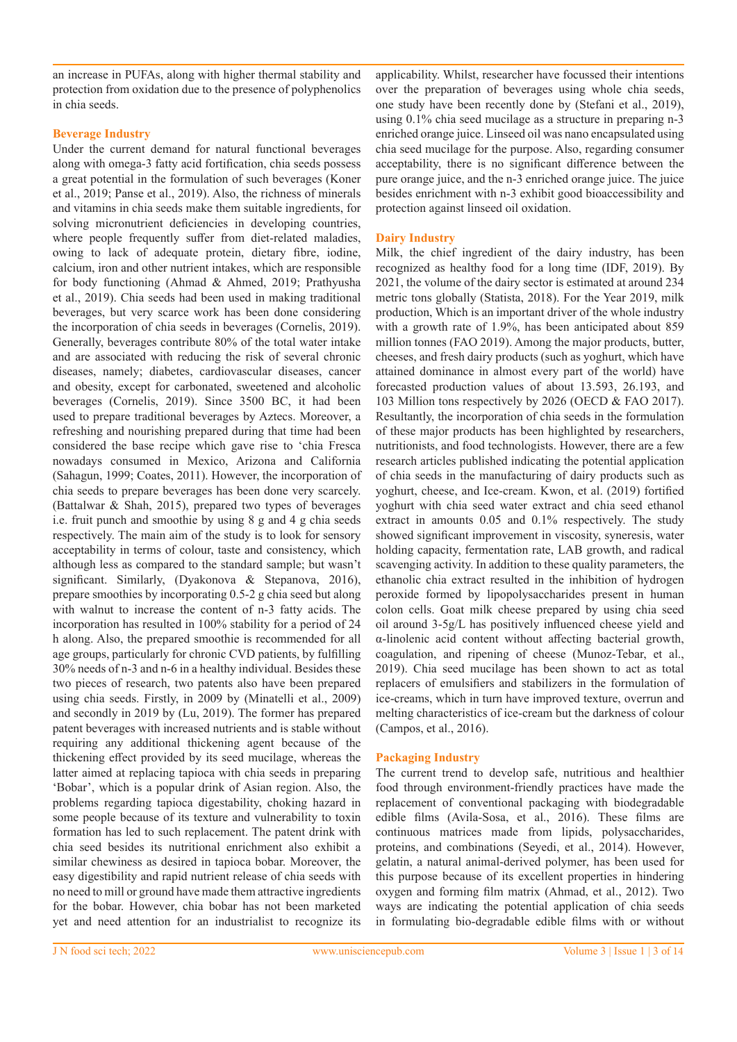an increase in PUFAs, along with higher thermal stability and protection from oxidation due to the presence of polyphenolics in chia seeds.

## **Beverage Industry**

Under the current demand for natural functional beverages along with omega-3 fatty acid fortification, chia seeds possess a great potential in the formulation of such beverages (Koner et al., 2019; Panse et al., 2019). Also, the richness of minerals and vitamins in chia seeds make them suitable ingredients, for solving micronutrient deficiencies in developing countries, where people frequently suffer from diet-related maladies, owing to lack of adequate protein, dietary fibre, iodine, calcium, iron and other nutrient intakes, which are responsible for body functioning (Ahmad & Ahmed, 2019; Prathyusha et al., 2019). Chia seeds had been used in making traditional beverages, but very scarce work has been done considering the incorporation of chia seeds in beverages (Cornelis, 2019). Generally, beverages contribute 80% of the total water intake and are associated with reducing the risk of several chronic diseases, namely; diabetes, cardiovascular diseases, cancer and obesity, except for carbonated, sweetened and alcoholic beverages (Cornelis, 2019). Since 3500 BC, it had been used to prepare traditional beverages by Aztecs. Moreover, a refreshing and nourishing prepared during that time had been considered the base recipe which gave rise to 'chia Fresca nowadays consumed in Mexico, Arizona and California (Sahagun, 1999; Coates, 2011). However, the incorporation of chia seeds to prepare beverages has been done very scarcely. (Battalwar & Shah, 2015), prepared two types of beverages i.e. fruit punch and smoothie by using 8 g and 4 g chia seeds respectively. The main aim of the study is to look for sensory acceptability in terms of colour, taste and consistency, which although less as compared to the standard sample; but wasn't significant. Similarly, (Dyakonova & Stepanova, 2016), prepare smoothies by incorporating 0.5-2 g chia seed but along with walnut to increase the content of n-3 fatty acids. The incorporation has resulted in 100% stability for a period of 24 h along. Also, the prepared smoothie is recommended for all age groups, particularly for chronic CVD patients, by fulfilling 30% needs of n-3 and n-6 in a healthy individual. Besides these two pieces of research, two patents also have been prepared using chia seeds. Firstly, in 2009 by (Minatelli et al., 2009) and secondly in 2019 by (Lu, 2019). The former has prepared patent beverages with increased nutrients and is stable without requiring any additional thickening agent because of the thickening effect provided by its seed mucilage, whereas the latter aimed at replacing tapioca with chia seeds in preparing 'Bobar', which is a popular drink of Asian region. Also, the problems regarding tapioca digestability, choking hazard in some people because of its texture and vulnerability to toxin formation has led to such replacement. The patent drink with chia seed besides its nutritional enrichment also exhibit a similar chewiness as desired in tapioca bobar. Moreover, the easy digestibility and rapid nutrient release of chia seeds with no need to mill or ground have made them attractive ingredients for the bobar. However, chia bobar has not been marketed yet and need attention for an industrialist to recognize its

applicability. Whilst, researcher have focussed their intentions over the preparation of beverages using whole chia seeds, one study have been recently done by (Stefani et al., 2019), using 0.1% chia seed mucilage as a structure in preparing n-3 enriched orange juice. Linseed oil was nano encapsulated using chia seed mucilage for the purpose. Also, regarding consumer acceptability, there is no significant difference between the pure orange juice, and the n-3 enriched orange juice. The juice besides enrichment with n-3 exhibit good bioaccessibility and protection against linseed oil oxidation.

## **Dairy Industry**

Milk, the chief ingredient of the dairy industry, has been recognized as healthy food for a long time (IDF, 2019). By 2021, the volume of the dairy sector is estimated at around 234 metric tons globally (Statista, 2018). For the Year 2019, milk production, Which is an important driver of the whole industry with a growth rate of 1.9%, has been anticipated about 859 million tonnes (FAO 2019). Among the major products, butter, cheeses, and fresh dairy products (such as yoghurt, which have attained dominance in almost every part of the world) have forecasted production values of about 13.593, 26.193, and 103 Million tons respectively by 2026 (OECD & FAO 2017). Resultantly, the incorporation of chia seeds in the formulation of these major products has been highlighted by researchers, nutritionists, and food technologists. However, there are a few research articles published indicating the potential application of chia seeds in the manufacturing of dairy products such as yoghurt, cheese, and Ice-cream. Kwon, et al. (2019) fortified yoghurt with chia seed water extract and chia seed ethanol extract in amounts 0.05 and 0.1% respectively. The study showed significant improvement in viscosity, syneresis, water holding capacity, fermentation rate, LAB growth, and radical scavenging activity. In addition to these quality parameters, the ethanolic chia extract resulted in the inhibition of hydrogen peroxide formed by lipopolysaccharides present in human colon cells. Goat milk cheese prepared by using chia seed oil around 3-5g/L has positively influenced cheese yield and α-linolenic acid content without affecting bacterial growth, coagulation, and ripening of cheese (Munoz-Tebar, et al., 2019). Chia seed mucilage has been shown to act as total replacers of emulsifiers and stabilizers in the formulation of ice-creams, which in turn have improved texture, overrun and melting characteristics of ice-cream but the darkness of colour (Campos, et al., 2016).

## **Packaging Industry**

The current trend to develop safe, nutritious and healthier food through environment-friendly practices have made the replacement of conventional packaging with biodegradable edible films (Avila-Sosa, et al., 2016). These films are continuous matrices made from lipids, polysaccharides, proteins, and combinations (Seyedi, et al., 2014). However, gelatin, a natural animal-derived polymer, has been used for this purpose because of its excellent properties in hindering oxygen and forming film matrix (Ahmad, et al., 2012). Two ways are indicating the potential application of chia seeds in formulating bio-degradable edible films with or without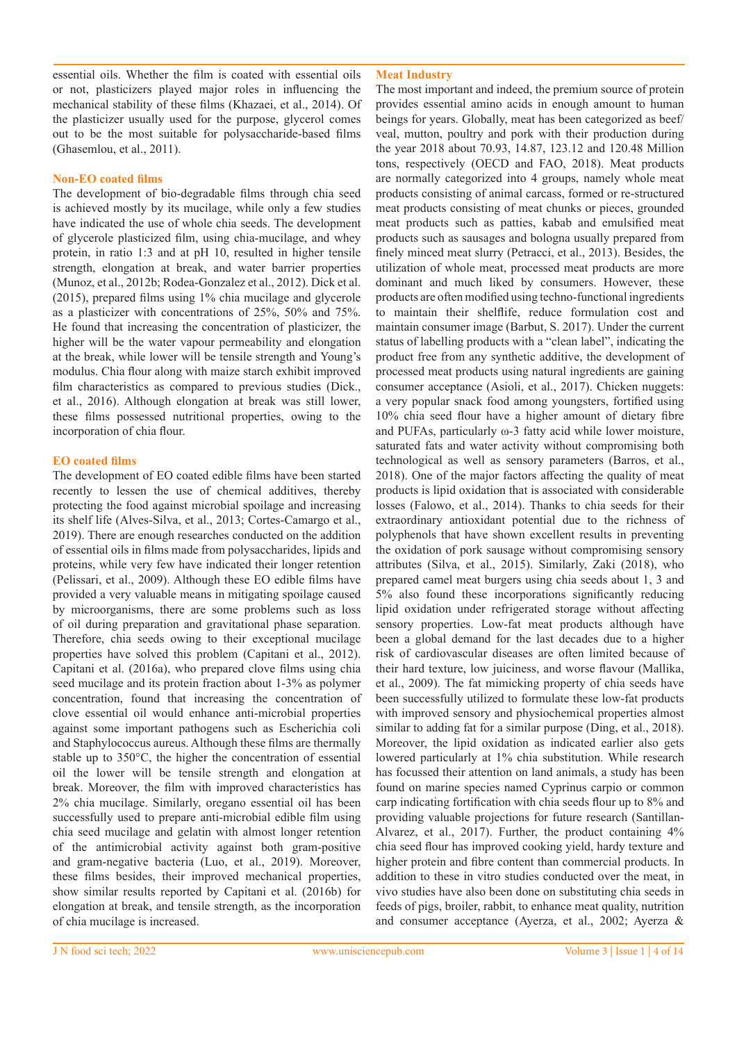essential oils. Whether the film is coated with essential oils or not, plasticizers played major roles in influencing the mechanical stability of these films (Khazaei, et al., 2014). Of the plasticizer usually used for the purpose, glycerol comes out to be the most suitable for polysaccharide-based films (Ghasemlou, et al., 2011).

## **Non-EO coated films**

The development of bio-degradable films through chia seed is achieved mostly by its mucilage, while only a few studies have indicated the use of whole chia seeds. The development of glycerole plasticized film, using chia-mucilage, and whey protein, in ratio 1:3 and at pH 10, resulted in higher tensile strength, elongation at break, and water barrier properties (Munoz, et al., 2012b; Rodea-Gonzalez et al., 2012). Dick et al. (2015), prepared films using 1% chia mucilage and glycerole as a plasticizer with concentrations of 25%, 50% and 75%. He found that increasing the concentration of plasticizer, the higher will be the water vapour permeability and elongation at the break, while lower will be tensile strength and Young's modulus. Chia flour along with maize starch exhibit improved film characteristics as compared to previous studies (Dick., et al., 2016). Although elongation at break was still lower, these films possessed nutritional properties, owing to the incorporation of chia flour.

## **EO coated films**

The development of EO coated edible films have been started recently to lessen the use of chemical additives, thereby protecting the food against microbial spoilage and increasing its shelf life (Alves-Silva, et al., 2013; Cortes-Camargo et al., 2019). There are enough researches conducted on the addition of essential oils in films made from polysaccharides, lipids and proteins, while very few have indicated their longer retention (Pelissari, et al., 2009). Although these EO edible films have provided a very valuable means in mitigating spoilage caused by microorganisms, there are some problems such as loss of oil during preparation and gravitational phase separation. Therefore, chia seeds owing to their exceptional mucilage properties have solved this problem (Capitani et al., 2012). Capitani et al. (2016a), who prepared clove films using chia seed mucilage and its protein fraction about 1-3% as polymer concentration, found that increasing the concentration of clove essential oil would enhance anti-microbial properties against some important pathogens such as Escherichia coli and Staphylococcus aureus. Although these films are thermally stable up to 350°C, the higher the concentration of essential oil the lower will be tensile strength and elongation at break. Moreover, the film with improved characteristics has 2% chia mucilage. Similarly, oregano essential oil has been successfully used to prepare anti-microbial edible film using chia seed mucilage and gelatin with almost longer retention of the antimicrobial activity against both gram-positive and gram-negative bacteria (Luo, et al., 2019). Moreover, these films besides, their improved mechanical properties, show similar results reported by Capitani et al. (2016b) for elongation at break, and tensile strength, as the incorporation of chia mucilage is increased.

## **Meat Industry**

The most important and indeed, the premium source of protein provides essential amino acids in enough amount to human beings for years. Globally, meat has been categorized as beef/ veal, mutton, poultry and pork with their production during the year 2018 about 70.93, 14.87, 123.12 and 120.48 Million tons, respectively (OECD and FAO, 2018). Meat products are normally categorized into 4 groups, namely whole meat products consisting of animal carcass, formed or re-structured meat products consisting of meat chunks or pieces, grounded meat products such as patties, kabab and emulsified meat products such as sausages and bologna usually prepared from finely minced meat slurry (Petracci, et al., 2013). Besides, the utilization of whole meat, processed meat products are more dominant and much liked by consumers. However, these products are often modified using techno-functional ingredients to maintain their shelflife, reduce formulation cost and maintain consumer image (Barbut, S. 2017). Under the current status of labelling products with a "clean label", indicating the product free from any synthetic additive, the development of processed meat products using natural ingredients are gaining consumer acceptance (Asioli, et al., 2017). Chicken nuggets: a very popular snack food among youngsters, fortified using 10% chia seed flour have a higher amount of dietary fibre and PUFAs, particularly ω-3 fatty acid while lower moisture, saturated fats and water activity without compromising both technological as well as sensory parameters (Barros, et al., 2018). One of the major factors affecting the quality of meat products is lipid oxidation that is associated with considerable losses (Falowo, et al., 2014). Thanks to chia seeds for their extraordinary antioxidant potential due to the richness of polyphenols that have shown excellent results in preventing the oxidation of pork sausage without compromising sensory attributes (Silva, et al., 2015). Similarly, Zaki (2018), who prepared camel meat burgers using chia seeds about 1, 3 and 5% also found these incorporations significantly reducing lipid oxidation under refrigerated storage without affecting sensory properties. Low-fat meat products although have been a global demand for the last decades due to a higher risk of cardiovascular diseases are often limited because of their hard texture, low juiciness, and worse flavour (Mallika, et al., 2009). The fat mimicking property of chia seeds have been successfully utilized to formulate these low-fat products with improved sensory and physiochemical properties almost similar to adding fat for a similar purpose (Ding, et al., 2018). Moreover, the lipid oxidation as indicated earlier also gets lowered particularly at 1% chia substitution. While research has focussed their attention on land animals, a study has been found on marine species named Cyprinus carpio or common carp indicating fortification with chia seeds flour up to 8% and providing valuable projections for future research (Santillan-Alvarez, et al., 2017). Further, the product containing 4% chia seed flour has improved cooking yield, hardy texture and higher protein and fibre content than commercial products. In addition to these in vitro studies conducted over the meat, in vivo studies have also been done on substituting chia seeds in feeds of pigs, broiler, rabbit, to enhance meat quality, nutrition and consumer acceptance (Ayerza, et al., 2002; Ayerza &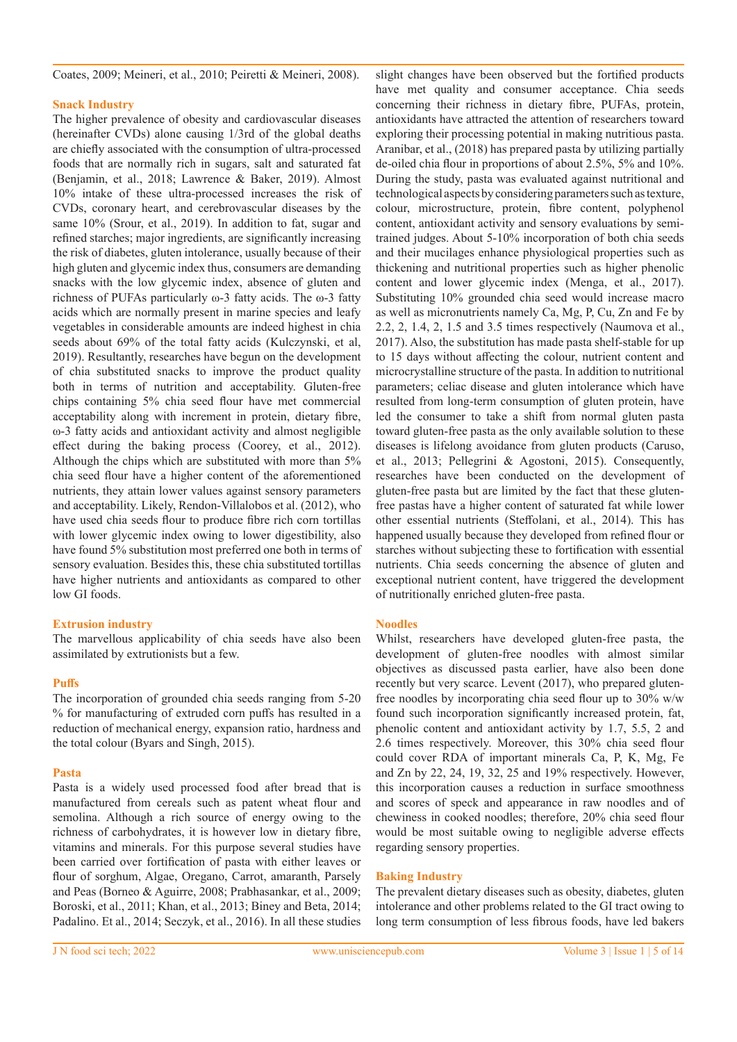Coates, 2009; Meineri, et al., 2010; Peiretti & Meineri, 2008).

#### **Snack Industry**

The higher prevalence of obesity and cardiovascular diseases (hereinafter CVDs) alone causing 1/3rd of the global deaths are chiefly associated with the consumption of ultra-processed foods that are normally rich in sugars, salt and saturated fat (Benjamin, et al., 2018; Lawrence & Baker, 2019). Almost 10% intake of these ultra-processed increases the risk of CVDs, coronary heart, and cerebrovascular diseases by the same 10% (Srour, et al., 2019). In addition to fat, sugar and refined starches; major ingredients, are significantly increasing the risk of diabetes, gluten intolerance, usually because of their high gluten and glycemic index thus, consumers are demanding snacks with the low glycemic index, absence of gluten and richness of PUFAs particularly ω-3 fatty acids. The ω-3 fatty acids which are normally present in marine species and leafy vegetables in considerable amounts are indeed highest in chia seeds about 69% of the total fatty acids (Kulczynski, et al, 2019). Resultantly, researches have begun on the development of chia substituted snacks to improve the product quality both in terms of nutrition and acceptability. Gluten-free chips containing 5% chia seed flour have met commercial acceptability along with increment in protein, dietary fibre, ω-3 fatty acids and antioxidant activity and almost negligible effect during the baking process (Coorey, et al., 2012). Although the chips which are substituted with more than 5% chia seed flour have a higher content of the aforementioned nutrients, they attain lower values against sensory parameters and acceptability. Likely, Rendon-Villalobos et al. (2012), who have used chia seeds flour to produce fibre rich corn tortillas with lower glycemic index owing to lower digestibility, also have found 5% substitution most preferred one both in terms of sensory evaluation. Besides this, these chia substituted tortillas have higher nutrients and antioxidants as compared to other low GI foods.

#### **Extrusion industry**

The marvellous applicability of chia seeds have also been assimilated by extrutionists but a few.

#### **Puffs**

The incorporation of grounded chia seeds ranging from 5-20 % for manufacturing of extruded corn puffs has resulted in a reduction of mechanical energy, expansion ratio, hardness and the total colour (Byars and Singh, 2015).

#### **Pasta**

Pasta is a widely used processed food after bread that is manufactured from cereals such as patent wheat flour and semolina. Although a rich source of energy owing to the richness of carbohydrates, it is however low in dietary fibre, vitamins and minerals. For this purpose several studies have been carried over fortification of pasta with either leaves or flour of sorghum, Algae, Oregano, Carrot, amaranth, Parsely and Peas (Borneo & Aguirre, 2008; Prabhasankar, et al., 2009; Boroski, et al., 2011; Khan, et al., 2013; Biney and Beta, 2014; Padalino. Et al., 2014; Seczyk, et al., 2016). In all these studies

slight changes have been observed but the fortified products have met quality and consumer acceptance. Chia seeds concerning their richness in dietary fibre, PUFAs, protein, antioxidants have attracted the attention of researchers toward exploring their processing potential in making nutritious pasta. Aranibar, et al., (2018) has prepared pasta by utilizing partially de-oiled chia flour in proportions of about 2.5%, 5% and 10%. During the study, pasta was evaluated against nutritional and technological aspects by considering parameters such as texture, colour, microstructure, protein, fibre content, polyphenol content, antioxidant activity and sensory evaluations by semitrained judges. About 5-10% incorporation of both chia seeds and their mucilages enhance physiological properties such as thickening and nutritional properties such as higher phenolic content and lower glycemic index (Menga, et al., 2017). Substituting 10% grounded chia seed would increase macro as well as micronutrients namely Ca, Mg, P, Cu, Zn and Fe by 2.2, 2, 1.4, 2, 1.5 and 3.5 times respectively (Naumova et al., 2017). Also, the substitution has made pasta shelf-stable for up to 15 days without affecting the colour, nutrient content and microcrystalline structure of the pasta. In addition to nutritional parameters; celiac disease and gluten intolerance which have resulted from long-term consumption of gluten protein, have led the consumer to take a shift from normal gluten pasta toward gluten-free pasta as the only available solution to these diseases is lifelong avoidance from gluten products (Caruso, et al., 2013; Pellegrini & Agostoni, 2015). Consequently, researches have been conducted on the development of gluten-free pasta but are limited by the fact that these glutenfree pastas have a higher content of saturated fat while lower other essential nutrients (Steffolani, et al., 2014). This has happened usually because they developed from refined flour or starches without subjecting these to fortification with essential nutrients. Chia seeds concerning the absence of gluten and exceptional nutrient content, have triggered the development of nutritionally enriched gluten-free pasta.

#### **Noodles**

Whilst, researchers have developed gluten-free pasta, the development of gluten-free noodles with almost similar objectives as discussed pasta earlier, have also been done recently but very scarce. Levent (2017), who prepared glutenfree noodles by incorporating chia seed flour up to 30% w/w found such incorporation significantly increased protein, fat, phenolic content and antioxidant activity by 1.7, 5.5, 2 and 2.6 times respectively. Moreover, this 30% chia seed flour could cover RDA of important minerals Ca, P, K, Mg, Fe and Zn by 22, 24, 19, 32, 25 and 19% respectively. However, this incorporation causes a reduction in surface smoothness and scores of speck and appearance in raw noodles and of chewiness in cooked noodles; therefore, 20% chia seed flour would be most suitable owing to negligible adverse effects regarding sensory properties.

#### **Baking Industry**

The prevalent dietary diseases such as obesity, diabetes, gluten intolerance and other problems related to the GI tract owing to long term consumption of less fibrous foods, have led bakers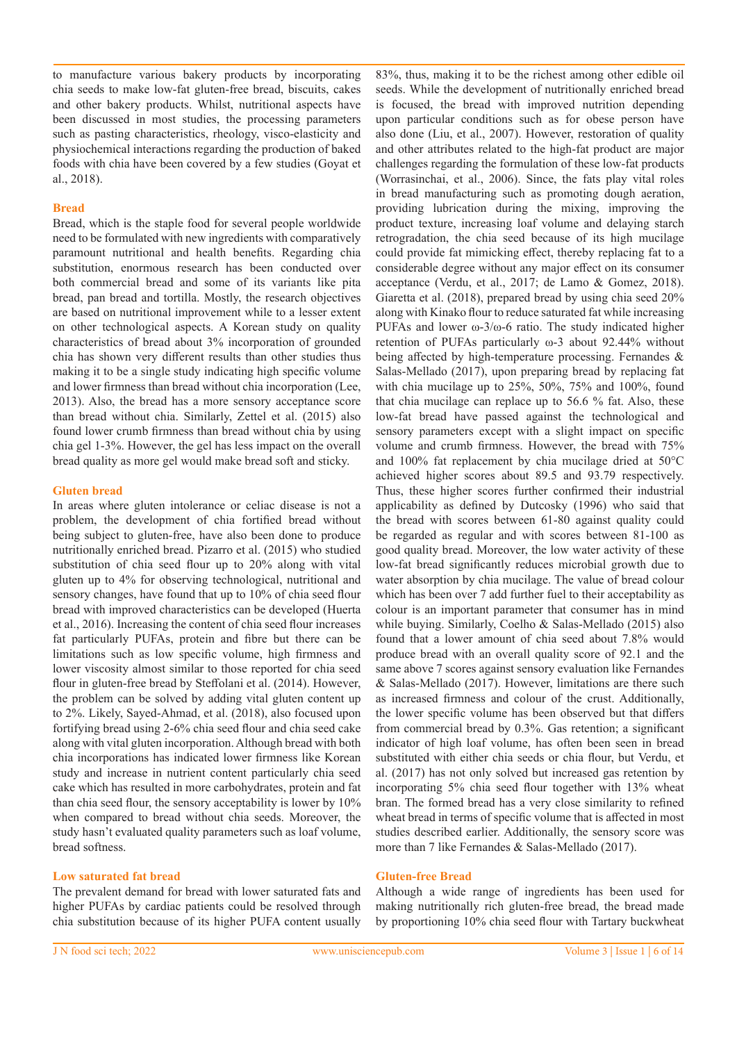to manufacture various bakery products by incorporating chia seeds to make low-fat gluten-free bread, biscuits, cakes and other bakery products. Whilst, nutritional aspects have been discussed in most studies, the processing parameters such as pasting characteristics, rheology, visco-elasticity and physiochemical interactions regarding the production of baked foods with chia have been covered by a few studies (Goyat et al., 2018).

#### **Bread**

Bread, which is the staple food for several people worldwide need to be formulated with new ingredients with comparatively paramount nutritional and health benefits. Regarding chia substitution, enormous research has been conducted over both commercial bread and some of its variants like pita bread, pan bread and tortilla. Mostly, the research objectives are based on nutritional improvement while to a lesser extent on other technological aspects. A Korean study on quality characteristics of bread about 3% incorporation of grounded chia has shown very different results than other studies thus making it to be a single study indicating high specific volume and lower firmness than bread without chia incorporation (Lee, 2013). Also, the bread has a more sensory acceptance score than bread without chia. Similarly, Zettel et al. (2015) also found lower crumb firmness than bread without chia by using chia gel 1-3%. However, the gel has less impact on the overall bread quality as more gel would make bread soft and sticky.

#### **Gluten bread**

In areas where gluten intolerance or celiac disease is not a problem, the development of chia fortified bread without being subject to gluten-free, have also been done to produce nutritionally enriched bread. Pizarro et al. (2015) who studied substitution of chia seed flour up to 20% along with vital gluten up to 4% for observing technological, nutritional and sensory changes, have found that up to 10% of chia seed flour bread with improved characteristics can be developed (Huerta et al., 2016). Increasing the content of chia seed flour increases fat particularly PUFAs, protein and fibre but there can be limitations such as low specific volume, high firmness and lower viscosity almost similar to those reported for chia seed flour in gluten-free bread by Steffolani et al. (2014). However, the problem can be solved by adding vital gluten content up to 2%. Likely, Sayed-Ahmad, et al. (2018), also focused upon fortifying bread using 2-6% chia seed flour and chia seed cake along with vital gluten incorporation. Although bread with both chia incorporations has indicated lower firmness like Korean study and increase in nutrient content particularly chia seed cake which has resulted in more carbohydrates, protein and fat than chia seed flour, the sensory acceptability is lower by 10% when compared to bread without chia seeds. Moreover, the study hasn't evaluated quality parameters such as loaf volume, bread softness.

## **Low saturated fat bread**

The prevalent demand for bread with lower saturated fats and higher PUFAs by cardiac patients could be resolved through chia substitution because of its higher PUFA content usually 83%, thus, making it to be the richest among other edible oil seeds. While the development of nutritionally enriched bread is focused, the bread with improved nutrition depending upon particular conditions such as for obese person have also done (Liu, et al., 2007). However, restoration of quality and other attributes related to the high-fat product are major challenges regarding the formulation of these low-fat products (Worrasinchai, et al., 2006). Since, the fats play vital roles in bread manufacturing such as promoting dough aeration, providing lubrication during the mixing, improving the product texture, increasing loaf volume and delaying starch retrogradation, the chia seed because of its high mucilage could provide fat mimicking effect, thereby replacing fat to a considerable degree without any major effect on its consumer acceptance (Verdu, et al., 2017; de Lamo & Gomez, 2018). Giaretta et al. (2018), prepared bread by using chia seed 20% along with Kinako flour to reduce saturated fat while increasing PUFAs and lower ω-3/ω-6 ratio. The study indicated higher retention of PUFAs particularly ω-3 about 92.44% without being affected by high-temperature processing. Fernandes & Salas-Mellado (2017), upon preparing bread by replacing fat with chia mucilage up to 25%, 50%, 75% and 100%, found that chia mucilage can replace up to 56.6 % fat. Also, these low-fat bread have passed against the technological and sensory parameters except with a slight impact on specific volume and crumb firmness. However, the bread with 75% and 100% fat replacement by chia mucilage dried at 50°C achieved higher scores about 89.5 and 93.79 respectively. Thus, these higher scores further confirmed their industrial applicability as defined by Dutcosky (1996) who said that the bread with scores between 61-80 against quality could be regarded as regular and with scores between 81-100 as good quality bread. Moreover, the low water activity of these low-fat bread significantly reduces microbial growth due to water absorption by chia mucilage. The value of bread colour which has been over 7 add further fuel to their acceptability as colour is an important parameter that consumer has in mind while buying. Similarly, Coelho & Salas-Mellado (2015) also found that a lower amount of chia seed about 7.8% would produce bread with an overall quality score of 92.1 and the same above 7 scores against sensory evaluation like Fernandes & Salas-Mellado (2017). However, limitations are there such as increased firmness and colour of the crust. Additionally, the lower specific volume has been observed but that differs from commercial bread by 0.3%. Gas retention; a significant indicator of high loaf volume, has often been seen in bread substituted with either chia seeds or chia flour, but Verdu, et al. (2017) has not only solved but increased gas retention by incorporating 5% chia seed flour together with 13% wheat bran. The formed bread has a very close similarity to refined wheat bread in terms of specific volume that is affected in most studies described earlier. Additionally, the sensory score was more than 7 like Fernandes & Salas-Mellado (2017).

#### **Gluten-free Bread**

Although a wide range of ingredients has been used for making nutritionally rich gluten-free bread, the bread made by proportioning 10% chia seed flour with Tartary buckwheat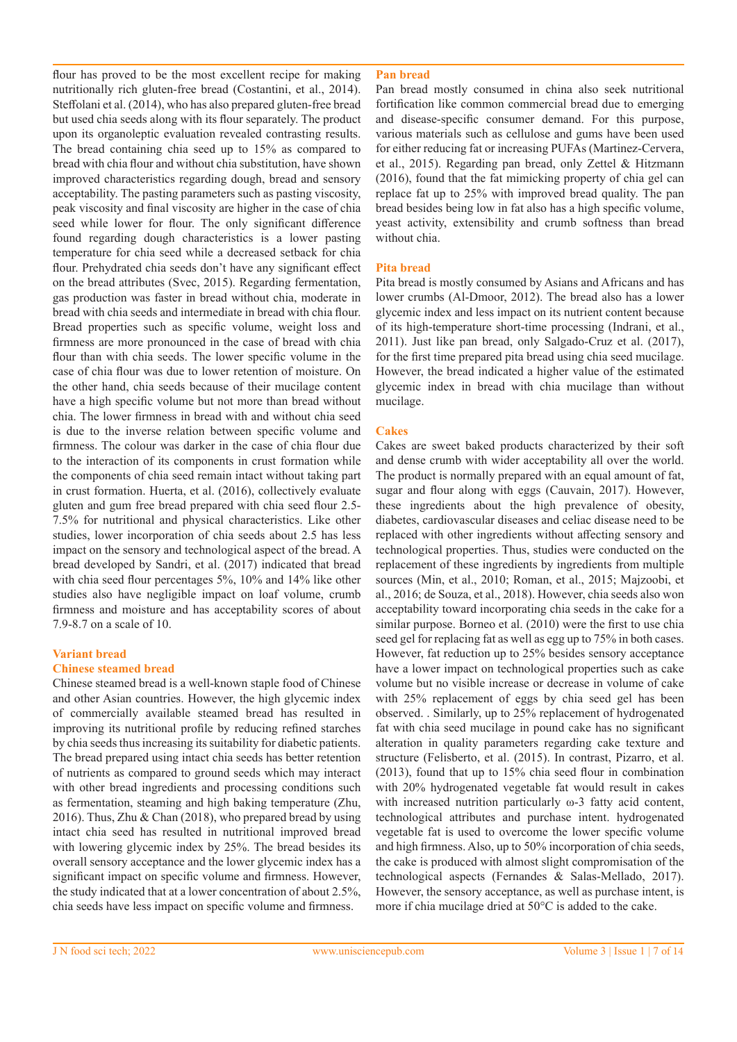flour has proved to be the most excellent recipe for making nutritionally rich gluten-free bread (Costantini, et al., 2014). Steffolani et al. (2014), who has also prepared gluten-free bread but used chia seeds along with its flour separately. The product upon its organoleptic evaluation revealed contrasting results. The bread containing chia seed up to 15% as compared to bread with chia flour and without chia substitution, have shown improved characteristics regarding dough, bread and sensory acceptability. The pasting parameters such as pasting viscosity, peak viscosity and final viscosity are higher in the case of chia seed while lower for flour. The only significant difference found regarding dough characteristics is a lower pasting temperature for chia seed while a decreased setback for chia flour. Prehydrated chia seeds don't have any significant effect on the bread attributes (Svec, 2015). Regarding fermentation, gas production was faster in bread without chia, moderate in bread with chia seeds and intermediate in bread with chia flour. Bread properties such as specific volume, weight loss and firmness are more pronounced in the case of bread with chia flour than with chia seeds. The lower specific volume in the case of chia flour was due to lower retention of moisture. On the other hand, chia seeds because of their mucilage content have a high specific volume but not more than bread without chia. The lower firmness in bread with and without chia seed is due to the inverse relation between specific volume and firmness. The colour was darker in the case of chia flour due to the interaction of its components in crust formation while the components of chia seed remain intact without taking part in crust formation. Huerta, et al. (2016), collectively evaluate gluten and gum free bread prepared with chia seed flour 2.5- 7.5% for nutritional and physical characteristics. Like other studies, lower incorporation of chia seeds about 2.5 has less impact on the sensory and technological aspect of the bread. A bread developed by Sandri, et al. (2017) indicated that bread with chia seed flour percentages 5%, 10% and 14% like other studies also have negligible impact on loaf volume, crumb firmness and moisture and has acceptability scores of about 7.9-8.7 on a scale of 10.

#### **Variant bread**

#### **Chinese steamed bread**

Chinese steamed bread is a well-known staple food of Chinese and other Asian countries. However, the high glycemic index of commercially available steamed bread has resulted in improving its nutritional profile by reducing refined starches by chia seeds thus increasing its suitability for diabetic patients. The bread prepared using intact chia seeds has better retention of nutrients as compared to ground seeds which may interact with other bread ingredients and processing conditions such as fermentation, steaming and high baking temperature (Zhu, 2016). Thus, Zhu & Chan (2018), who prepared bread by using intact chia seed has resulted in nutritional improved bread with lowering glycemic index by 25%. The bread besides its overall sensory acceptance and the lower glycemic index has a significant impact on specific volume and firmness. However, the study indicated that at a lower concentration of about 2.5%, chia seeds have less impact on specific volume and firmness.

#### **Pan bread**

Pan bread mostly consumed in china also seek nutritional fortification like common commercial bread due to emerging and disease-specific consumer demand. For this purpose, various materials such as cellulose and gums have been used for either reducing fat or increasing PUFAs (Martinez-Cervera, et al., 2015). Regarding pan bread, only Zettel & Hitzmann (2016), found that the fat mimicking property of chia gel can replace fat up to 25% with improved bread quality. The pan bread besides being low in fat also has a high specific volume, yeast activity, extensibility and crumb softness than bread without chia.

#### **Pita bread**

Pita bread is mostly consumed by Asians and Africans and has lower crumbs (Al-Dmoor, 2012). The bread also has a lower glycemic index and less impact on its nutrient content because of its high-temperature short-time processing (Indrani, et al., 2011). Just like pan bread, only Salgado-Cruz et al. (2017), for the first time prepared pita bread using chia seed mucilage. However, the bread indicated a higher value of the estimated glycemic index in bread with chia mucilage than without mucilage.

#### **Cakes**

Cakes are sweet baked products characterized by their soft and dense crumb with wider acceptability all over the world. The product is normally prepared with an equal amount of fat, sugar and flour along with eggs (Cauvain, 2017). However, these ingredients about the high prevalence of obesity, diabetes, cardiovascular diseases and celiac disease need to be replaced with other ingredients without affecting sensory and technological properties. Thus, studies were conducted on the replacement of these ingredients by ingredients from multiple sources (Min, et al., 2010; Roman, et al., 2015; Majzoobi, et al., 2016; de Souza, et al., 2018). However, chia seeds also won acceptability toward incorporating chia seeds in the cake for a similar purpose. Borneo et al. (2010) were the first to use chia seed gel for replacing fat as well as egg up to 75% in both cases. However, fat reduction up to 25% besides sensory acceptance have a lower impact on technological properties such as cake volume but no visible increase or decrease in volume of cake with 25% replacement of eggs by chia seed gel has been observed. . Similarly, up to 25% replacement of hydrogenated fat with chia seed mucilage in pound cake has no significant alteration in quality parameters regarding cake texture and structure (Felisberto, et al. (2015). In contrast, Pizarro, et al. (2013), found that up to 15% chia seed flour in combination with 20% hydrogenated vegetable fat would result in cakes with increased nutrition particularly ω-3 fatty acid content, technological attributes and purchase intent. hydrogenated vegetable fat is used to overcome the lower specific volume and high firmness. Also, up to 50% incorporation of chia seeds, the cake is produced with almost slight compromisation of the technological aspects (Fernandes & Salas-Mellado, 2017). However, the sensory acceptance, as well as purchase intent, is more if chia mucilage dried at 50°C is added to the cake.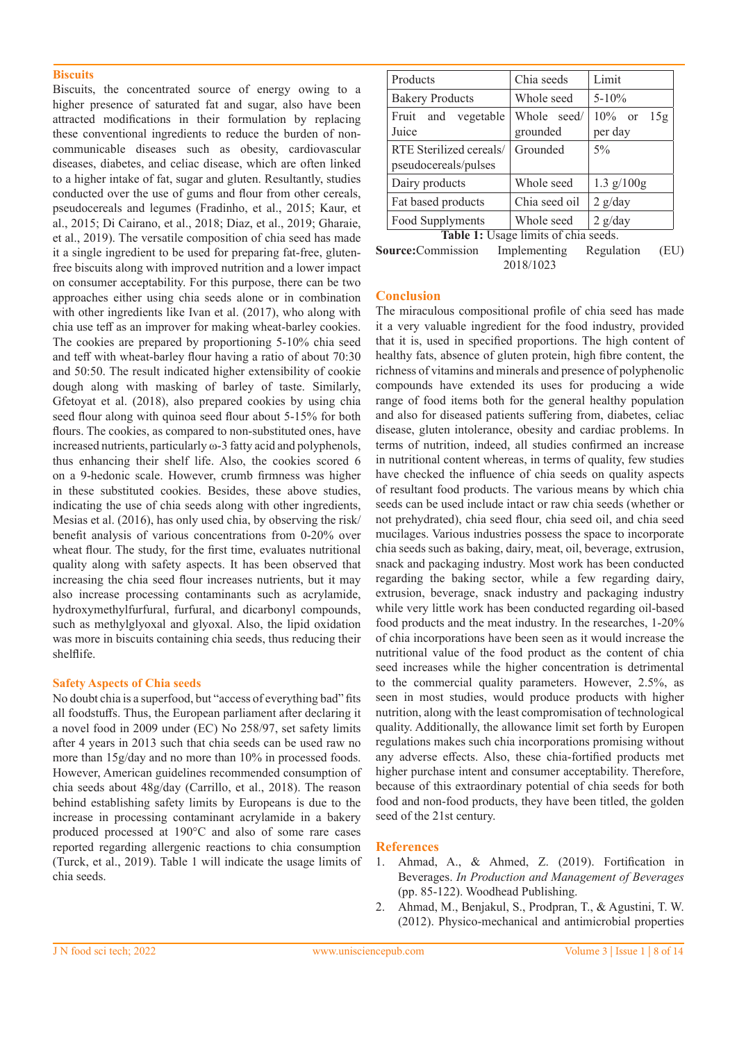#### **Biscuits**

Biscuits, the concentrated source of energy owing to a higher presence of saturated fat and sugar, also have been attracted modifications in their formulation by replacing these conventional ingredients to reduce the burden of noncommunicable diseases such as obesity, cardiovascular diseases, diabetes, and celiac disease, which are often linked to a higher intake of fat, sugar and gluten. Resultantly, studies conducted over the use of gums and flour from other cereals, pseudocereals and legumes (Fradinho, et al., 2015; Kaur, et al., 2015; Di Cairano, et al., 2018; Diaz, et al., 2019; Gharaie, et al., 2019). The versatile composition of chia seed has made it a single ingredient to be used for preparing fat-free, glutenfree biscuits along with improved nutrition and a lower impact on consumer acceptability. For this purpose, there can be two approaches either using chia seeds alone or in combination with other ingredients like Ivan et al. (2017), who along with chia use teff as an improver for making wheat-barley cookies. The cookies are prepared by proportioning 5-10% chia seed and teff with wheat-barley flour having a ratio of about 70:30 and 50:50. The result indicated higher extensibility of cookie dough along with masking of barley of taste. Similarly, Gfetoyat et al. (2018), also prepared cookies by using chia seed flour along with quinoa seed flour about 5-15% for both flours. The cookies, as compared to non-substituted ones, have increased nutrients, particularly ω-3 fatty acid and polyphenols, thus enhancing their shelf life. Also, the cookies scored 6 on a 9-hedonic scale. However, crumb firmness was higher in these substituted cookies. Besides, these above studies, indicating the use of chia seeds along with other ingredients, Mesias et al. (2016), has only used chia, by observing the risk/ benefit analysis of various concentrations from 0-20% over wheat flour. The study, for the first time, evaluates nutritional quality along with safety aspects. It has been observed that increasing the chia seed flour increases nutrients, but it may also increase processing contaminants such as acrylamide, hydroxymethylfurfural, furfural, and dicarbonyl compounds, such as methylglyoxal and glyoxal. Also, the lipid oxidation was more in biscuits containing chia seeds, thus reducing their shelflife.

#### **Safety Aspects of Chia seeds**

No doubt chia is a superfood, but "access of everything bad" fits all foodstuffs. Thus, the European parliament after declaring it a novel food in 2009 under (EC) No 258/97, set safety limits after 4 years in 2013 such that chia seeds can be used raw no more than 15g/day and no more than 10% in processed foods. However, American guidelines recommended consumption of chia seeds about 48g/day (Carrillo, et al., 2018). The reason behind establishing safety limits by Europeans is due to the increase in processing contaminant acrylamide in a bakery produced processed at 190°C and also of some rare cases reported regarding allergenic reactions to chia consumption (Turck, et al., 2019). Table 1 will indicate the usage limits of chia seeds.

| Products                                        | Chia seeds              | Limit                        |
|-------------------------------------------------|-------------------------|------------------------------|
| <b>Bakery Products</b>                          | Whole seed              | $5 - 10\%$                   |
| Fruit and<br>vegetable<br>Juice                 | Whole seed/<br>grounded | $10\%$ or<br>15g<br>per day  |
| RTE Sterilized cereals/<br>pseudocereals/pulses | Grounded                | $5\%$                        |
| Dairy products                                  | Whole seed              | $1.3 \text{ g}/100 \text{g}$ |
| Fat based products                              | Chia seed oil           | $2$ g/day                    |
| Food Supplyments                                | Whole seed              | $2$ g/day                    |
| Table 1: Usage limits of chia seeds.            |                         |                              |

**Source:**Commission Implementing Regulation (EU) 2018/1023

## **Conclusion**

The miraculous compositional profile of chia seed has made it a very valuable ingredient for the food industry, provided that it is, used in specified proportions. The high content of healthy fats, absence of gluten protein, high fibre content, the richness of vitamins and minerals and presence of polyphenolic compounds have extended its uses for producing a wide range of food items both for the general healthy population and also for diseased patients suffering from, diabetes, celiac disease, gluten intolerance, obesity and cardiac problems. In terms of nutrition, indeed, all studies confirmed an increase in nutritional content whereas, in terms of quality, few studies have checked the influence of chia seeds on quality aspects of resultant food products. The various means by which chia seeds can be used include intact or raw chia seeds (whether or not prehydrated), chia seed flour, chia seed oil, and chia seed mucilages. Various industries possess the space to incorporate chia seeds such as baking, dairy, meat, oil, beverage, extrusion, snack and packaging industry. Most work has been conducted regarding the baking sector, while a few regarding dairy, extrusion, beverage, snack industry and packaging industry while very little work has been conducted regarding oil-based food products and the meat industry. In the researches, 1-20% of chia incorporations have been seen as it would increase the nutritional value of the food product as the content of chia seed increases while the higher concentration is detrimental to the commercial quality parameters. However, 2.5%, as seen in most studies, would produce products with higher nutrition, along with the least compromisation of technological quality. Additionally, the allowance limit set forth by Europen regulations makes such chia incorporations promising without any adverse effects. Also, these chia-fortified products met higher purchase intent and consumer acceptability. Therefore, because of this extraordinary potential of chia seeds for both food and non-food products, they have been titled, the golden seed of the 21st century.

#### **References**

- 1. Ahmad, A., & Ahmed, Z. (2019). Fortification in Beverages. *In Production and Management of Beverages*  (pp. 85-122). Woodhead Publishing.
- 2. Ahmad, M., Benjakul, S., Prodpran, T., & Agustini, T. W. (2012). Physico-mechanical and antimicrobial properties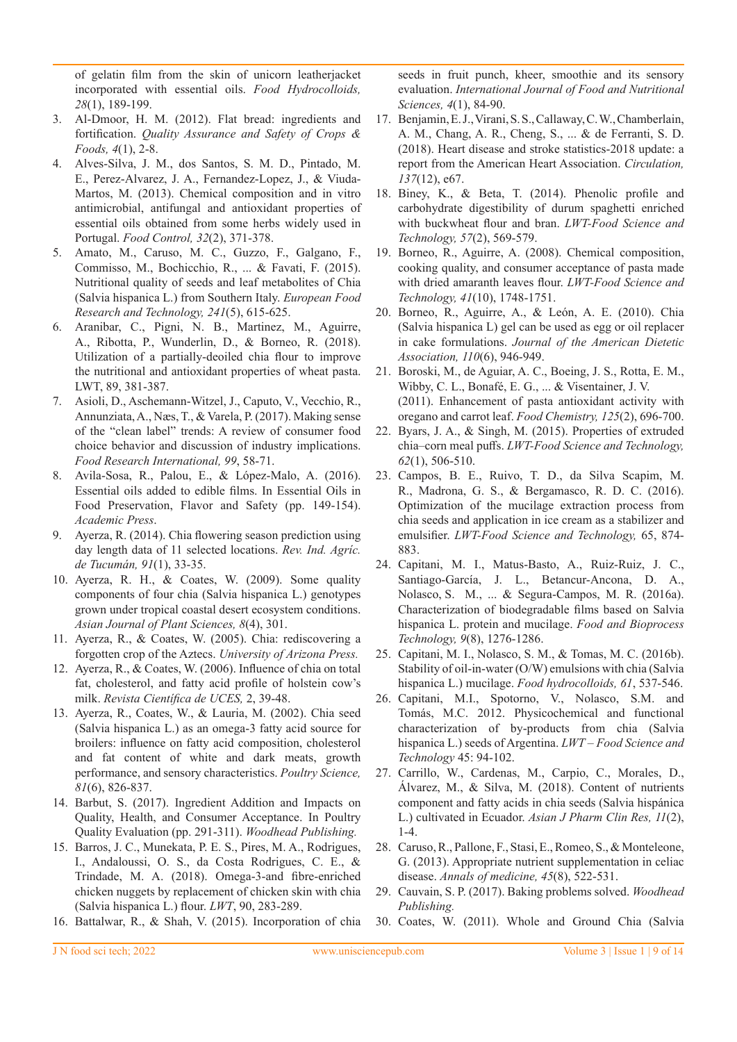of gelatin film from the skin of unicorn leatherjacket incorporated with essential oils. *Food Hydrocolloids, 28*(1), 189-199.

- 3. Al-Dmoor, H. M. (2012). Flat bread: ingredients and fortification. *Quality Assurance and Safety of Crops & Foods, 4*(1), 2-8.
- 4. Alves-Silva, J. M., dos Santos, S. M. D., Pintado, M. E., Perez-Alvarez, J. A., Fernandez-Lopez, J., & Viuda-Martos, M. (2013). Chemical composition and in vitro antimicrobial, antifungal and antioxidant properties of essential oils obtained from some herbs widely used in Portugal. *Food Control, 32*(2), 371-378.
- 5. Amato, M., Caruso, M. C., Guzzo, F., Galgano, F., Commisso, M., Bochicchio, R., ... & Favati, F. (2015). Nutritional quality of seeds and leaf metabolites of Chia (Salvia hispanica L.) from Southern Italy. *European Food Research and Technology, 241*(5), 615-625.
- 6. Aranibar, C., Pigni, N. B., Martinez, M., Aguirre, A., Ribotta, P., Wunderlin, D., & Borneo, R. (2018). Utilization of a partially-deoiled chia flour to improve the nutritional and antioxidant properties of wheat pasta. LWT, 89, 381-387.
- 7. Asioli, D., Aschemann-Witzel, J., Caputo, V., Vecchio, R., Annunziata, A., Næs, T., & Varela, P. (2017). Making sense of the "clean label" trends: A review of consumer food choice behavior and discussion of industry implications. *Food Research International, 99*, 58-71.
- 8. Avila-Sosa, R., Palou, E., & López-Malo, A. (2016). Essential oils added to edible films. In Essential Oils in Food Preservation, Flavor and Safety (pp. 149-154). *Academic Press*.
- 9. Ayerza, R. (2014). Chia flowering season prediction using day length data of 11 selected locations. *Rev. Ind. Agríc. de Tucumán, 91*(1), 33-35.
- 10. Ayerza, R. H., & Coates, W. (2009). Some quality components of four chia (Salvia hispanica L.) genotypes grown under tropical coastal desert ecosystem conditions. *Asian Journal of Plant Sciences, 8*(4), 301.
- 11. Ayerza, R., & Coates, W. (2005). Chia: rediscovering a forgotten crop of the Aztecs. *University of Arizona Press.*
- 12. Ayerza, R., & Coates, W. (2006). Influence of chia on total fat, cholesterol, and fatty acid profile of holstein cow's milk. *Revista Científica de UCES,* 2, 39-48.
- 13. Ayerza, R., Coates, W., & Lauria, M. (2002). Chia seed (Salvia hispanica L.) as an omega-3 fatty acid source for broilers: influence on fatty acid composition, cholesterol and fat content of white and dark meats, growth performance, and sensory characteristics. *Poultry Science, 81*(6), 826-837.
- 14. Barbut, S. (2017). Ingredient Addition and Impacts on Quality, Health, and Consumer Acceptance. In Poultry Quality Evaluation (pp. 291-311). *Woodhead Publishing.*
- 15. Barros, J. C., Munekata, P. E. S., Pires, M. A., Rodrigues, I., Andaloussi, O. S., da Costa Rodrigues, C. E., & Trindade, M. A. (2018). Omega-3-and fibre-enriched chicken nuggets by replacement of chicken skin with chia (Salvia hispanica L.) flour. *LWT*, 90, 283-289.
- 16. Battalwar, R., & Shah, V. (2015). Incorporation of chia

seeds in fruit punch, kheer, smoothie and its sensory evaluation. *International Journal of Food and Nutritional Sciences, 4*(1), 84-90.

- 17. Benjamin, E. J., Virani, S. S., Callaway, C. W., Chamberlain, A. M., Chang, A. R., Cheng, S., ... & de Ferranti, S. D. (2018). Heart disease and stroke statistics-2018 update: a report from the American Heart Association. *Circulation, 137*(12), e67.
- 18. Biney, K., & Beta, T. (2014). Phenolic profile and carbohydrate digestibility of durum spaghetti enriched with buckwheat flour and bran. *LWT-Food Science and Technology, 57*(2), 569-579.
- 19. Borneo, R., Aguirre, A. (2008). Chemical composition, cooking quality, and consumer acceptance of pasta made with dried amaranth leaves flour. *LWT-Food Science and Technology, 41*(10), 1748-1751.
- 20. Borneo, R., Aguirre, A., & León, A. E. (2010). Chia (Salvia hispanica L) gel can be used as egg or oil replacer in cake formulations. *Journal of the American Dietetic Association, 110*(6), 946-949.
- 21. Boroski, M., de Aguiar, A. C., Boeing, J. S., Rotta, E. M., Wibby, C. L., Bonafé, E. G., ... & Visentainer, J. V. (2011). Enhancement of pasta antioxidant activity with oregano and carrot leaf. *Food Chemistry, 125*(2), 696-700.
- 22. Byars, J. A., & Singh, M. (2015). Properties of extruded chia–corn meal puffs. *LWT-Food Science and Technology, 62*(1), 506-510.
- 23. Campos, B. E., Ruivo, T. D., da Silva Scapim, M. R., Madrona, G. S., & Bergamasco, R. D. C. (2016). Optimization of the mucilage extraction process from chia seeds and application in ice cream as a stabilizer and emulsifier. *LWT-Food Science and Technology,* 65, 874- 883.
- 24. Capitani, M. I., Matus-Basto, A., Ruiz-Ruiz, J. C., Santiago-García, J. L., Betancur-Ancona, D. A., Nolasco, S. M., ... & Segura-Campos, M. R. (2016a). Characterization of biodegradable films based on Salvia hispanica L. protein and mucilage. *Food and Bioprocess Technology, 9*(8), 1276-1286.
- 25. Capitani, M. I., Nolasco, S. M., & Tomas, M. C. (2016b). Stability of oil-in-water (O/W) emulsions with chia (Salvia hispanica L.) mucilage. *Food hydrocolloids, 61*, 537-546.
- 26. Capitani, M.I., Spotorno, V., Nolasco, S.M. and Tomás, M.C. 2012. Physicochemical and functional characterization of by-products from chia (Salvia hispanica L.) seeds of Argentina. *LWT – Food Science and Technology* 45: 94-102.
- 27. Carrillo, W., Cardenas, M., Carpio, C., Morales, D., Álvarez, M., & Silva, M. (2018). Content of nutrients component and fatty acids in chia seeds (Salvia hispánica L.) cultivated in Ecuador. *Asian J Pharm Clin Res, 11*(2), 1-4.
- 28. Caruso, R., Pallone, F., Stasi, E., Romeo, S., & Monteleone, G. (2013). Appropriate nutrient supplementation in celiac disease. *Annals of medicine, 45*(8), 522-531.
- 29. Cauvain, S. P. (2017). Baking problems solved. *Woodhead Publishing.*
- 30. Coates, W. (2011). Whole and Ground Chia (Salvia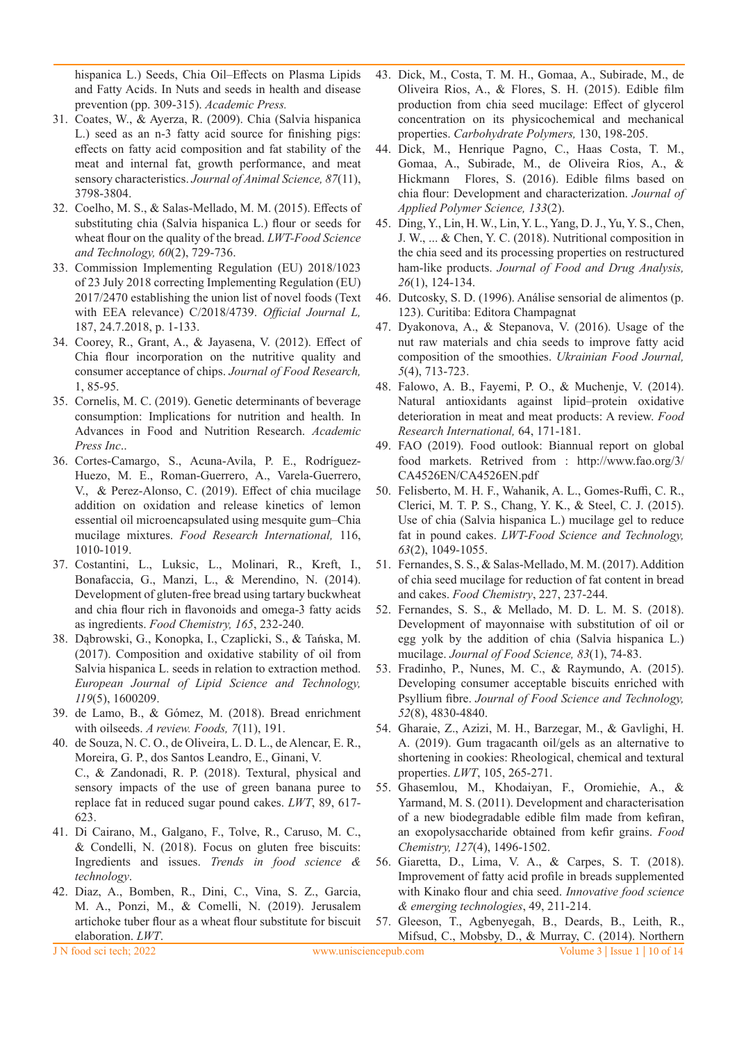hispanica L.) Seeds, Chia Oil–Effects on Plasma Lipids and Fatty Acids. In Nuts and seeds in health and disease prevention (pp. 309-315). *Academic Press.*

- 31. Coates, W., & Ayerza, R. (2009). Chia (Salvia hispanica L.) seed as an n-3 fatty acid source for finishing pigs: effects on fatty acid composition and fat stability of the meat and internal fat, growth performance, and meat sensory characteristics. *Journal of Animal Science, 87*(11), 3798-3804.
- 32. Coelho, M. S., & Salas-Mellado, M. M. (2015). Effects of substituting chia (Salvia hispanica L.) flour or seeds for wheat flour on the quality of the bread. *LWT-Food Science and Technology, 60*(2), 729-736.
- 33. Commission Implementing Regulation (EU) 2018/1023 of 23 July 2018 correcting Implementing Regulation (EU) 2017/2470 establishing the union list of novel foods (Text with EEA relevance) C/2018/4739. *Official Journal L,* 187, 24.7.2018, p. 1-133.
- 34. Coorey, R., Grant, A., & Jayasena, V. (2012). Effect of Chia flour incorporation on the nutritive quality and consumer acceptance of chips. *Journal of Food Research,*  1, 85-95.
- 35. Cornelis, M. C. (2019). Genetic determinants of beverage consumption: Implications for nutrition and health. In Advances in Food and Nutrition Research. *Academic Press Inc*..
- 36. Cortes-Camargo, S., Acuna-Avila, P. E., Rodríguez-Huezo, M. E., Roman-Guerrero, A., Varela-Guerrero, V., & Perez-Alonso, C. (2019). Effect of chia mucilage addition on oxidation and release kinetics of lemon essential oil microencapsulated using mesquite gum–Chia mucilage mixtures. *Food Research International,* 116, 1010-1019.
- 37. Costantini, L., Luksic, L., Molinari, R., Kreft, I., Bonafaccia, G., Manzi, L., & Merendino, N. (2014). Development of gluten-free bread using tartary buckwheat and chia flour rich in flavonoids and omega-3 fatty acids as ingredients. *Food Chemistry, 165*, 232-240.
- 38. Dąbrowski, G., Konopka, I., Czaplicki, S., & Tańska, M. (2017). Composition and oxidative stability of oil from Salvia hispanica L. seeds in relation to extraction method. *European Journal of Lipid Science and Technology, 119*(5), 1600209.
- 39. de Lamo, B., & Gómez, M. (2018). Bread enrichment with oilseeds. *A review. Foods, 7*(11), 191.
- 40. de Souza, N. C. O., de Oliveira, L. D. L., de Alencar, E. R., Moreira, G. P., dos Santos Leandro, E., Ginani, V. C., & Zandonadi, R. P. (2018). Textural, physical and sensory impacts of the use of green banana puree to replace fat in reduced sugar pound cakes. *LWT*, 89, 617- 623.
- 41. Di Cairano, M., Galgano, F., Tolve, R., Caruso, M. C., & Condelli, N. (2018). Focus on gluten free biscuits: Ingredients and issues. *Trends in food science & technology*.
- 42. Diaz, A., Bomben, R., Dini, C., Vina, S. Z., Garcia, M. A., Ponzi, M., & Comelli, N. (2019). Jerusalem artichoke tuber flour as a wheat flour substitute for biscuit elaboration. *LWT*.
- 43. Dick, M., Costa, T. M. H., Gomaa, A., Subirade, M., de Oliveira Rios, A., & Flores, S. H. (2015). Edible film production from chia seed mucilage: Effect of glycerol concentration on its physicochemical and mechanical properties. *Carbohydrate Polymers,* 130, 198-205.
- 44. Dick, M., Henrique Pagno, C., Haas Costa, T. M., Gomaa, A., Subirade, M., de Oliveira Rios, A., & Hickmann Flores, S. (2016). Edible films based on chia flour: Development and characterization. *Journal of Applied Polymer Science, 133*(2).
- 45. Ding, Y., Lin, H. W., Lin, Y. L., Yang, D. J., Yu, Y. S., Chen, J. W., ... & Chen, Y. C. (2018). Nutritional composition in the chia seed and its processing properties on restructured ham-like products. *Journal of Food and Drug Analysis, 26*(1), 124-134.
- 46. Dutcosky, S. D. (1996). Análise sensorial de alimentos (p. 123). Curitiba: Editora Champagnat
- 47. Dyakonova, A., & Stepanova, V. (2016). Usage of the nut raw materials and chia seeds to improve fatty acid composition of the smoothies. *Ukrainian Food Journal, 5*(4), 713-723.
- 48. Falowo, A. B., Fayemi, P. O., & Muchenje, V. (2014). Natural antioxidants against lipid–protein oxidative deterioration in meat and meat products: A review. *Food Research International,* 64, 171-181.
- 49. FAO (2019). Food outlook: Biannual report on global food markets. Retrived from : http://www.fao.org/3/ CA4526EN/CA4526EN.pdf
- 50. Felisberto, M. H. F., Wahanik, A. L., Gomes-Ruffi, C. R., Clerici, M. T. P. S., Chang, Y. K., & Steel, C. J. (2015). Use of chia (Salvia hispanica L.) mucilage gel to reduce fat in pound cakes. *LWT-Food Science and Technology, 63*(2), 1049-1055.
- 51. Fernandes, S. S., & Salas-Mellado, M. M. (2017). Addition of chia seed mucilage for reduction of fat content in bread and cakes. *Food Chemistry*, 227, 237-244.
- 52. Fernandes, S. S., & Mellado, M. D. L. M. S. (2018). Development of mayonnaise with substitution of oil or egg yolk by the addition of chia (Salvia hispanica L.) mucilage. *Journal of Food Science, 83*(1), 74-83.
- 53. Fradinho, P., Nunes, M. C., & Raymundo, A. (2015). Developing consumer acceptable biscuits enriched with Psyllium fibre. *Journal of Food Science and Technology, 52*(8), 4830-4840.
- 54. Gharaie, Z., Azizi, M. H., Barzegar, M., & Gavlighi, H. A. (2019). Gum tragacanth oil/gels as an alternative to shortening in cookies: Rheological, chemical and textural properties. *LWT*, 105, 265-271.
- 55. Ghasemlou, M., Khodaiyan, F., Oromiehie, A., & Yarmand, M. S. (2011). Development and characterisation of a new biodegradable edible film made from kefiran, an exopolysaccharide obtained from kefir grains. *Food Chemistry, 127*(4), 1496-1502.
- 56. Giaretta, D., Lima, V. A., & Carpes, S. T. (2018). Improvement of fatty acid profile in breads supplemented with Kinako flour and chia seed. *Innovative food science & emerging technologies*, 49, 211-214.
- 57. Gleeson, T., Agbenyegah, B., Deards, B., Leith, R., Mifsud, C., Mobsby, D., & Murray, C. (2014). Northern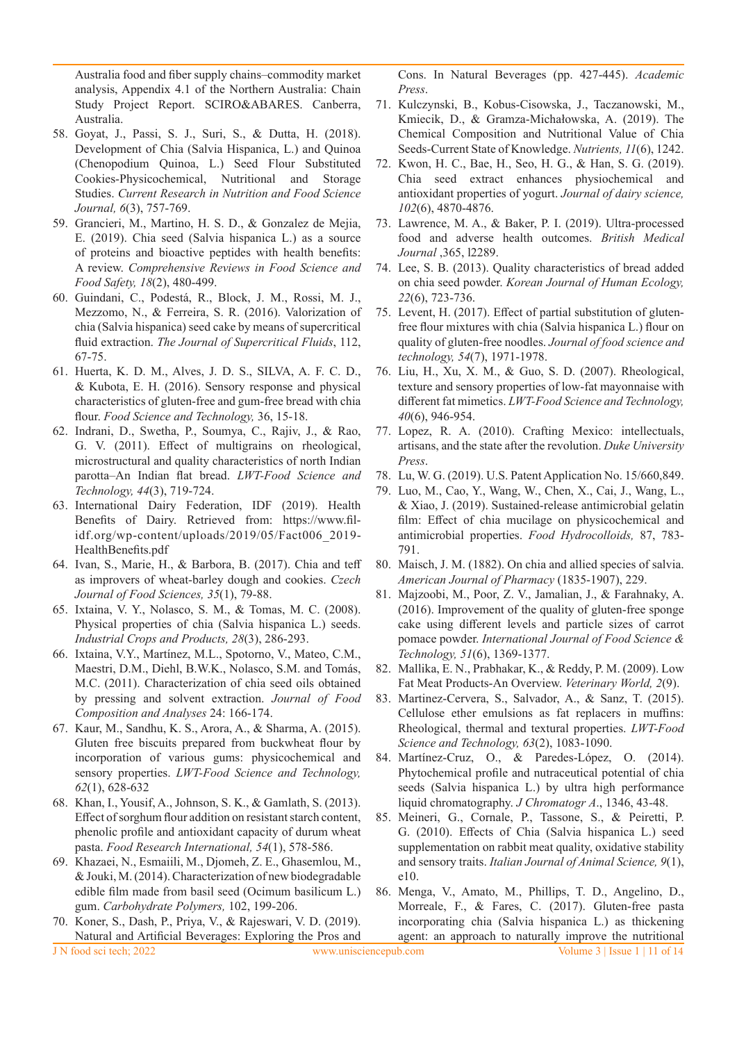Australia food and fiber supply chains–commodity market analysis, Appendix 4.1 of the Northern Australia: Chain Study Project Report. SCIRO&ABARES. Canberra, Australia.

- 58. Goyat, J., Passi, S. J., Suri, S., & Dutta, H. (2018). Development of Chia (Salvia Hispanica, L.) and Quinoa (Chenopodium Quinoa, L.) Seed Flour Substituted Cookies-Physicochemical, Nutritional and Storage Studies. *Current Research in Nutrition and Food Science Journal, 6*(3), 757-769.
- 59. Grancieri, M., Martino, H. S. D., & Gonzalez de Mejia, E. (2019). Chia seed (Salvia hispanica L.) as a source of proteins and bioactive peptides with health benefits: A review. *Comprehensive Reviews in Food Science and Food Safety, 18*(2), 480-499.
- 60. Guindani, C., Podestá, R., Block, J. M., Rossi, M. J., Mezzomo, N., & Ferreira, S. R. (2016). Valorization of chia (Salvia hispanica) seed cake by means of supercritical fluid extraction. *The Journal of Supercritical Fluids*, 112, 67-75.
- 61. Huerta, K. D. M., Alves, J. D. S., SILVA, A. F. C. D., & Kubota, E. H. (2016). Sensory response and physical characteristics of gluten-free and gum-free bread with chia flour. *Food Science and Technology,* 36, 15-18.
- 62. Indrani, D., Swetha, P., Soumya, C., Rajiv, J., & Rao, G. V. (2011). Effect of multigrains on rheological, microstructural and quality characteristics of north Indian parotta–An Indian flat bread. *LWT-Food Science and Technology, 44*(3), 719-724.
- 63. International Dairy Federation, IDF (2019). Health Benefits of Dairy. Retrieved from: https://www.filidf.org/wp-content/uploads/2019/05/Fact006\_2019- HealthBenefits.pdf
- 64. Ivan, S., Marie, H., & Barbora, B. (2017). Chia and teff as improvers of wheat-barley dough and cookies. *Czech Journal of Food Sciences, 35*(1), 79-88.
- 65. Ixtaina, V. Y., Nolasco, S. M., & Tomas, M. C. (2008). Physical properties of chia (Salvia hispanica L.) seeds. *Industrial Crops and Products, 28*(3), 286-293.
- 66. Ixtaina, V.Y., Martínez, M.L., Spotorno, V., Mateo, C.M., Maestri, D.M., Diehl, B.W.K., Nolasco, S.M. and Tomás, M.C. (2011). Characterization of chia seed oils obtained by pressing and solvent extraction. *Journal of Food Composition and Analyses* 24: 166-174.
- 67. Kaur, M., Sandhu, K. S., Arora, A., & Sharma, A. (2015). Gluten free biscuits prepared from buckwheat flour by incorporation of various gums: physicochemical and sensory properties. *LWT-Food Science and Technology, 62*(1), 628-632
- 68. Khan, I., Yousif, A., Johnson, S. K., & Gamlath, S. (2013). Effect of sorghum flour addition on resistant starch content, phenolic profile and antioxidant capacity of durum wheat pasta. *Food Research International, 54*(1), 578-586.
- 69. Khazaei, N., Esmaiili, M., Djomeh, Z. E., Ghasemlou, M., & Jouki, M. (2014). Characterization of new biodegradable edible film made from basil seed (Ocimum basilicum L.) gum. *Carbohydrate Polymers,* 102, 199-206.
- 70. Koner, S., Dash, P., Priya, V., & Rajeswari, V. D. (2019). Natural and Artificial Beverages: Exploring the Pros and

Cons. In Natural Beverages (pp. 427-445). *Academic Press*.

- 71. Kulczynski, B., Kobus-Cisowska, J., Taczanowski, M., Kmiecik, D., & Gramza-Michałowska, A. (2019). The Chemical Composition and Nutritional Value of Chia Seeds-Current State of Knowledge. *Nutrients, 11*(6), 1242.
- 72. Kwon, H. C., Bae, H., Seo, H. G., & Han, S. G. (2019). Chia seed extract enhances physiochemical and antioxidant properties of yogurt. *Journal of dairy science, 102*(6), 4870-4876.
- 73. Lawrence, M. A., & Baker, P. I. (2019). Ultra-processed food and adverse health outcomes. *British Medical Journal* ,365, l2289.
- 74. Lee, S. B. (2013). Quality characteristics of bread added on chia seed powder. *Korean Journal of Human Ecology, 22*(6), 723-736.
- 75. Levent, H. (2017). Effect of partial substitution of glutenfree flour mixtures with chia (Salvia hispanica L.) flour on quality of gluten-free noodles. *Journal of food science and technology, 54*(7), 1971-1978.
- 76. Liu, H., Xu, X. M., & Guo, S. D. (2007). Rheological, texture and sensory properties of low-fat mayonnaise with different fat mimetics. *LWT-Food Science and Technology, 40*(6), 946-954.
- 77. Lopez, R. A. (2010). Crafting Mexico: intellectuals, artisans, and the state after the revolution. *Duke University Press*.
- 78. Lu, W. G. (2019). U.S. Patent Application No. 15/660,849.
- 79. Luo, M., Cao, Y., Wang, W., Chen, X., Cai, J., Wang, L., & Xiao, J. (2019). Sustained-release antimicrobial gelatin film: Effect of chia mucilage on physicochemical and antimicrobial properties. *Food Hydrocolloids,* 87, 783- 791.
- 80. Maisch, J. M. (1882). On chia and allied species of salvia. *American Journal of Pharmacy* (1835-1907), 229.
- 81. Majzoobi, M., Poor, Z. V., Jamalian, J., & Farahnaky, A. (2016). Improvement of the quality of gluten-free sponge cake using different levels and particle sizes of carrot pomace powder. *International Journal of Food Science & Technology, 51*(6), 1369-1377.
- 82. Mallika, E. N., Prabhakar, K., & Reddy, P. M. (2009). Low Fat Meat Products-An Overview. *Veterinary World, 2*(9).
- 83. Martinez-Cervera, S., Salvador, A., & Sanz, T. (2015). Cellulose ether emulsions as fat replacers in muffins: Rheological, thermal and textural properties. *LWT-Food Science and Technology, 63*(2), 1083-1090.
- 84. Martínez-Cruz, O., & Paredes-López, O. (2014). Phytochemical profile and nutraceutical potential of chia seeds (Salvia hispanica L.) by ultra high performance liquid chromatography. *J Chromatogr A*., 1346, 43-48.
- 85. Meineri, G., Cornale, P., Tassone, S., & Peiretti, P. G. (2010). Effects of Chia (Salvia hispanica L.) seed supplementation on rabbit meat quality, oxidative stability and sensory traits. *Italian Journal of Animal Science, 9*(1), e10.
- 86. Menga, V., Amato, M., Phillips, T. D., Angelino, D., Morreale, F., & Fares, C. (2017). Gluten-free pasta incorporating chia (Salvia hispanica L.) as thickening agent: an approach to naturally improve the nutritional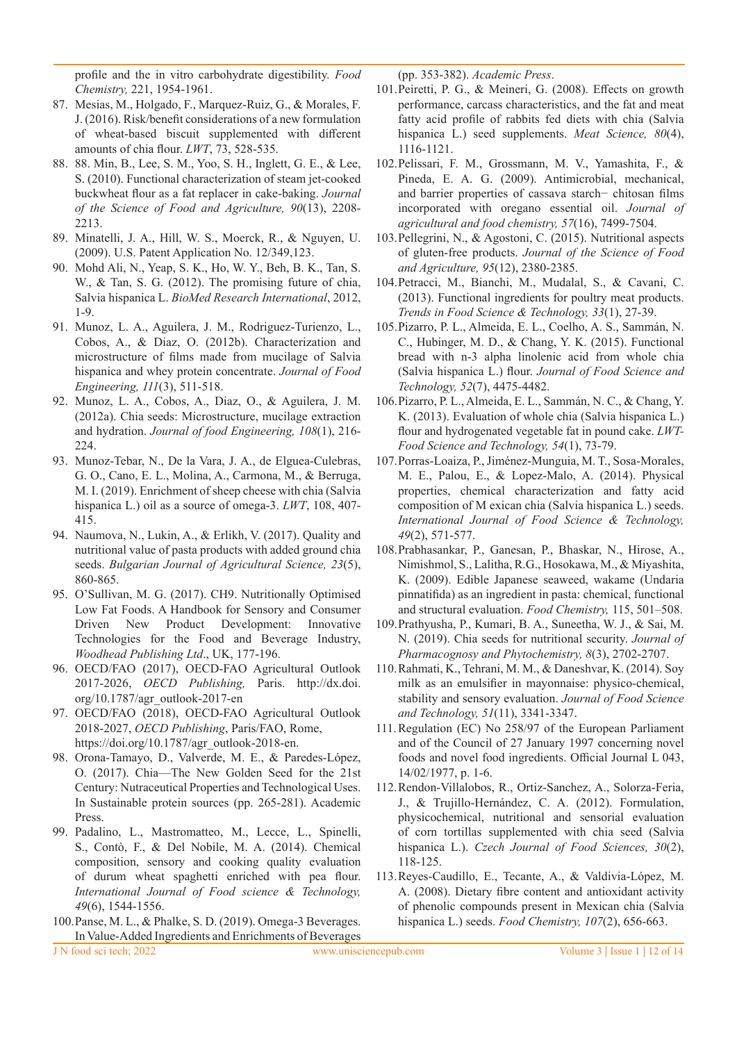profile and the in vitro carbohydrate digestibility. *Food Chemistry,* 221, 1954-1961.

- 87. Mesias, M., Holgado, F., Marquez-Ruiz, G., & Morales, F. J. (2016). Risk/benefit considerations of a new formulation of wheat-based biscuit supplemented with different amounts of chia flour. *LWT*, 73, 528-535.
- 88. 88. Min, B., Lee, S. M., Yoo, S. H., Inglett, G. E., & Lee, S. (2010). Functional characterization of steam jet-cooked buckwheat flour as a fat replacer in cake-baking. *Journal of the Science of Food and Agriculture, 90*(13), 2208- 2213.
- 89. Minatelli, J. A., Hill, W. S., Moerck, R., & Nguyen, U. (2009). U.S. Patent Application No. 12/349,123.
- 90. Mohd Ali, N., Yeap, S. K., Ho, W. Y., Beh, B. K., Tan, S. W., & Tan, S. G. (2012). The promising future of chia, Salvia hispanica L. *BioMed Research International*, 2012, 1-9.
- 91. Munoz, L. A., Aguilera, J. M., Rodriguez-Turienzo, L., Cobos, A., & Diaz, O. (2012b). Characterization and microstructure of films made from mucilage of Salvia hispanica and whey protein concentrate. *Journal of Food Engineering, 111*(3), 511-518.
- 92. Munoz, L. A., Cobos, A., Diaz, O., & Aguilera, J. M. (2012a). Chia seeds: Microstructure, mucilage extraction and hydration. *Journal of food Engineering, 108*(1), 216- 224.
- 93. Munoz-Tebar, N., De la Vara, J. A., de Elguea-Culebras, G. O., Cano, E. L., Molina, A., Carmona, M., & Berruga, M. I. (2019). Enrichment of sheep cheese with chia (Salvia hispanica L.) oil as a source of omega-3. *LWT*, 108, 407- 415.
- 94. Naumova, N., Lukin, A., & Erlikh, V. (2017). Quality and nutritional value of pasta products with added ground chia seeds. *Bulgarian Journal of Agricultural Science, 23*(5), 860-865.
- 95. O'Sullivan, M. G. (2017). CH9. Nutritionally Optimised Low Fat Foods. A Handbook for Sensory and Consumer Driven New Product Development: Innovative Technologies for the Food and Beverage Industry, *Woodhead Publishing Ltd*., UK, 177-196.
- 96. OECD/FAO (2017), OECD-FAO Agricultural Outlook 2017-2026, *OECD Publishing,* Paris. http://dx.doi. org/10.1787/agr\_outlook-2017-en
- 97. OECD/FAO (2018), OECD-FAO Agricultural Outlook 2018-2027, *OECD Publishing*, Paris/FAO, Rome, https://doi.org/10.1787/agr\_outlook-2018-en.
- 98. Orona-Tamayo, D., Valverde, M. E., & Paredes-López, O. (2017). Chia—The New Golden Seed for the 21st Century: Nutraceutical Properties and Technological Uses. In Sustainable protein sources (pp. 265-281). Academic Press.
- 99. Padalino, L., Mastromatteo, M., Lecce, L., Spinelli, S., Contò, F., & Del Nobile, M. A. (2014). Chemical composition, sensory and cooking quality evaluation of durum wheat spaghetti enriched with pea flour. *International Journal of Food science & Technology, 49*(6), 1544-1556.
- 100.Panse, M. L., & Phalke, S. D. (2019). Omega-3 Beverages. In Value-Added Ingredients and Enrichments of Beverages

(pp. 353-382). *Academic Press*.

- 101.Peiretti, P. G., & Meineri, G. (2008). Effects on growth performance, carcass characteristics, and the fat and meat fatty acid profile of rabbits fed diets with chia (Salvia hispanica L.) seed supplements. *Meat Science, 80*(4), 1116-1121.
- 102.Pelissari, F. M., Grossmann, M. V., Yamashita, F., & Pineda, E. A. G. (2009). Antimicrobial, mechanical, and barrier properties of cassava starch− chitosan films incorporated with oregano essential oil. *Journal of agricultural and food chemistry, 57*(16), 7499-7504.
- 103.Pellegrini, N., & Agostoni, C. (2015). Nutritional aspects of gluten-free products. *Journal of the Science of Food and Agriculture, 95*(12), 2380-2385.
- 104.Petracci, M., Bianchi, M., Mudalal, S., & Cavani, C. (2013). Functional ingredients for poultry meat products. *Trends in Food Science & Technology, 33*(1), 27-39.
- 105.Pizarro, P. L., Almeida, E. L., Coelho, A. S., Sammán, N. C., Hubinger, M. D., & Chang, Y. K. (2015). Functional bread with n-3 alpha linolenic acid from whole chia (Salvia hispanica L.) flour. *Journal of Food Science and Technology, 52*(7), 4475-4482.
- 106.Pizarro, P. L., Almeida, E. L., Sammán, N. C., & Chang, Y. K. (2013). Evaluation of whole chia (Salvia hispanica L.) flour and hydrogenated vegetable fat in pound cake. *LWT-Food Science and Technology, 54*(1), 73-79.
- 107.Porras-Loaiza, P., Jiménez-Munguia, M. T., Sosa-Morales, M. E., Palou, E., & Lopez-Malo, A. (2014). Physical properties, chemical characterization and fatty acid composition of M exican chia (Salvia hispanica L.) seeds. *International Journal of Food Science & Technology, 49*(2), 571-577.
- 108.Prabhasankar, P., Ganesan, P., Bhaskar, N., Hirose, A., Nimishmol, S., Lalitha, R.G., Hosokawa, M., & Miyashita, K. (2009). Edible Japanese seaweed, wakame (Undaria pinnatifida) as an ingredient in pasta: chemical, functional and structural evaluation. *Food Chemistry,* 115, 501–508.
- 109.Prathyusha, P., Kumari, B. A., Suneetha, W. J., & Sai, M. N. (2019). Chia seeds for nutritional security. *Journal of Pharmacognosy and Phytochemistry, 8*(3), 2702-2707.
- 110.Rahmati, K., Tehrani, M. M., & Daneshvar, K. (2014). Soy milk as an emulsifier in mayonnaise: physico-chemical, stability and sensory evaluation. *Journal of Food Science and Technology, 51*(11), 3341-3347.
- 111.Regulation (EC) No 258/97 of the European Parliament and of the Council of 27 January 1997 concerning novel foods and novel food ingredients. Official Journal L 043, 14/02/1977, p. 1-6.
- 112.Rendon-Villalobos, R., Ortiz-Sanchez, A., Solorza-Feria, J., & Trujillo-Hernández, C. A. (2012). Formulation, physicochemical, nutritional and sensorial evaluation of corn tortillas supplemented with chia seed (Salvia hispanica L.). *Czech Journal of Food Sciences, 30*(2), 118-125.
- 113.Reyes-Caudillo, E., Tecante, A., & Valdivia-López, M. A. (2008). Dietary fibre content and antioxidant activity of phenolic compounds present in Mexican chia (Salvia hispanica L.) seeds. *Food Chemistry, 107*(2), 656-663.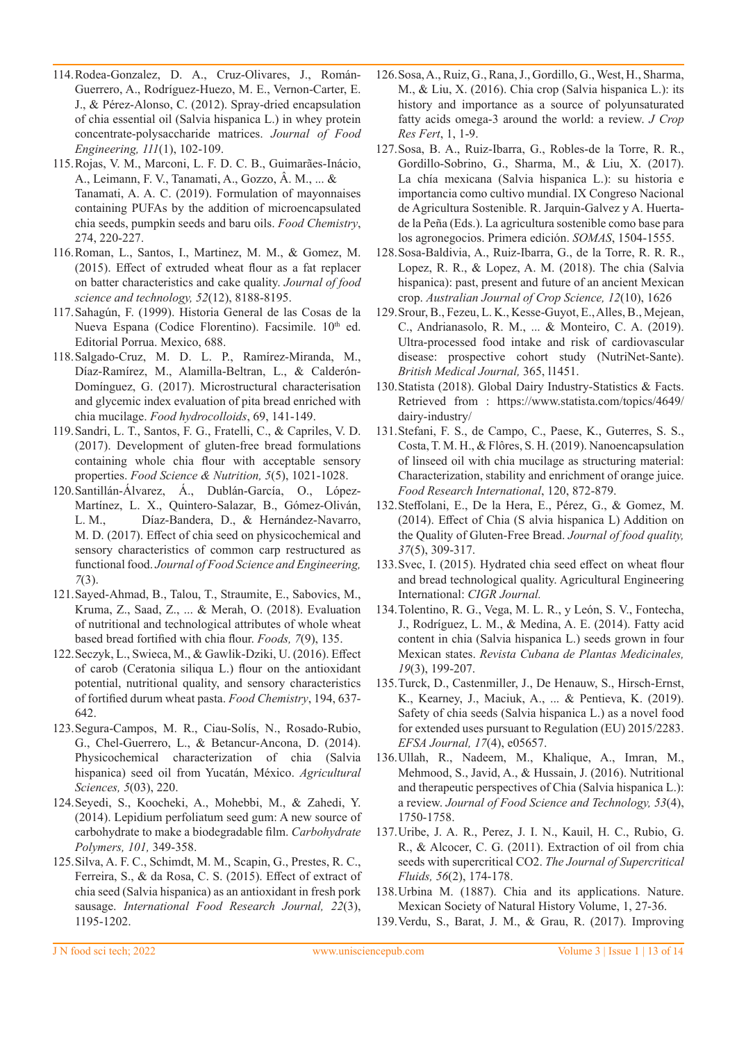- 114.Rodea-Gonzalez, D. A., Cruz-Olivares, J., Román-Guerrero, A., Rodríguez-Huezo, M. E., Vernon-Carter, E. J., & Pérez-Alonso, C. (2012). Spray-dried encapsulation of chia essential oil (Salvia hispanica L.) in whey protein concentrate-polysaccharide matrices. *Journal of Food Engineering, 111*(1), 102-109.
- 115.Rojas, V. M., Marconi, L. F. D. C. B., Guimarães-Inácio, A., Leimann, F. V., Tanamati, A., Gozzo, Â. M., ... & Tanamati, A. A. C. (2019). Formulation of mayonnaises containing PUFAs by the addition of microencapsulated chia seeds, pumpkin seeds and baru oils. *Food Chemistry*, 274, 220-227.
- 116.Roman, L., Santos, I., Martinez, M. M., & Gomez, M. (2015). Effect of extruded wheat flour as a fat replacer on batter characteristics and cake quality. *Journal of food science and technology, 52*(12), 8188-8195.
- 117.Sahagún, F. (1999). Historia General de las Cosas de la Nueva Espana (Codice Florentino). Facsimile. 10<sup>th</sup> ed. Editorial Porrua. Mexico, 688.
- 118.Salgado-Cruz, M. D. L. P., Ramírez-Miranda, M., Díaz-Ramírez, M., Alamilla-Beltran, L., & Calderón-Domínguez, G. (2017). Microstructural characterisation and glycemic index evaluation of pita bread enriched with chia mucilage. *Food hydrocolloids*, 69, 141-149.
- 119.Sandri, L. T., Santos, F. G., Fratelli, C., & Capriles, V. D. (2017). Development of gluten-free bread formulations containing whole chia flour with acceptable sensory properties. *Food Science & Nutrition, 5*(5), 1021-1028.
- 120.Santillán-Álvarez, Á., Dublán-García, O., López-Martínez, L. X., Quintero-Salazar, B., Gómez-Oliván, L. M., Díaz-Bandera, D., & Hernández-Navarro, M. D. (2017). Effect of chia seed on physicochemical and sensory characteristics of common carp restructured as functional food. *Journal of Food Science and Engineering, 7*(3).
- 121.Sayed-Ahmad, B., Talou, T., Straumite, E., Sabovics, M., Kruma, Z., Saad, Z., ... & Merah, O. (2018). Evaluation of nutritional and technological attributes of whole wheat based bread fortified with chia flour. *Foods, 7*(9), 135.
- 122.Seczyk, L., Swieca, M., & Gawlik-Dziki, U. (2016). Effect of carob (Ceratonia siliqua L.) flour on the antioxidant potential, nutritional quality, and sensory characteristics of fortified durum wheat pasta. *Food Chemistry*, 194, 637- 642.
- 123.Segura-Campos, M. R., Ciau-Solís, N., Rosado-Rubio, G., Chel-Guerrero, L., & Betancur-Ancona, D. (2014). Physicochemical characterization of chia (Salvia hispanica) seed oil from Yucatán, México. *Agricultural Sciences, 5*(03), 220.
- 124.Seyedi, S., Koocheki, A., Mohebbi, M., & Zahedi, Y. (2014). Lepidium perfoliatum seed gum: A new source of carbohydrate to make a biodegradable film. *Carbohydrate Polymers, 101,* 349-358.
- 125.Silva, A. F. C., Schimdt, M. M., Scapin, G., Prestes, R. C., Ferreira, S., & da Rosa, C. S. (2015). Effect of extract of chia seed (Salvia hispanica) as an antioxidant in fresh pork sausage. *International Food Research Journal, 22*(3), 1195-1202.
- 126.Sosa, A., Ruiz, G., Rana, J., Gordillo, G., West, H., Sharma, M., & Liu, X. (2016). Chia crop (Salvia hispanica L.): its history and importance as a source of polyunsaturated fatty acids omega-3 around the world: a review. *J Crop Res Fert*, 1, 1-9.
- 127.Sosa, B. A., Ruiz-Ibarra, G., Robles-de la Torre, R. R., Gordillo-Sobrino, G., Sharma, M., & Liu, X. (2017). La chía mexicana (Salvia hispanica L.): su historia e importancia como cultivo mundial. IX Congreso Nacional de Agricultura Sostenible. R. Jarquin-Galvez y A. Huertade la Peña (Eds.). La agricultura sostenible como base para los agronegocios. Primera edición. *SOMAS*, 1504-1555.
- 128.Sosa-Baldivia, A., Ruiz-Ibarra, G., de la Torre, R. R. R., Lopez, R. R., & Lopez, A. M. (2018). The chia (Salvia hispanica): past, present and future of an ancient Mexican crop. *Australian Journal of Crop Science, 12*(10), 1626
- 129.Srour, B., Fezeu, L. K., Kesse-Guyot, E., Alles, B., Mejean, C., Andrianasolo, R. M., ... & Monteiro, C. A. (2019). Ultra-processed food intake and risk of cardiovascular disease: prospective cohort study (NutriNet-Sante). *British Medical Journal,* 365, l1451.
- 130.Statista (2018). Global Dairy Industry-Statistics & Facts. Retrieved from : https://www.statista.com/topics/4649/ dairy-industry/
- 131.Stefani, F. S., de Campo, C., Paese, K., Guterres, S. S., Costa, T. M. H., & Flôres, S. H. (2019). Nanoencapsulation of linseed oil with chia mucilage as structuring material: Characterization, stability and enrichment of orange juice. *Food Research International*, 120, 872-879.
- 132.Steffolani, E., De la Hera, E., Pérez, G., & Gomez, M. (2014). Effect of Chia (S alvia hispanica L) Addition on the Quality of Gluten-Free Bread. *Journal of food quality, 37*(5), 309-317.
- 133.Svec, I. (2015). Hydrated chia seed effect on wheat flour and bread technological quality. Agricultural Engineering International: *CIGR Journal.*
- 134.Tolentino, R. G., Vega, M. L. R., y León, S. V., Fontecha, J., Rodríguez, L. M., & Medina, A. E. (2014). Fatty acid content in chia (Salvia hispanica L.) seeds grown in four Mexican states. *Revista Cubana de Plantas Medicinales, 19*(3), 199-207.
- 135.Turck, D., Castenmiller, J., De Henauw, S., Hirsch-Ernst, K., Kearney, J., Maciuk, A., ... & Pentieva, K. (2019). Safety of chia seeds (Salvia hispanica L.) as a novel food for extended uses pursuant to Regulation (EU) 2015/2283. *EFSA Journal, 17*(4), e05657.
- 136.Ullah, R., Nadeem, M., Khalique, A., Imran, M., Mehmood, S., Javid, A., & Hussain, J. (2016). Nutritional and therapeutic perspectives of Chia (Salvia hispanica L.): a review. *Journal of Food Science and Technology, 53*(4), 1750-1758.
- 137.Uribe, J. A. R., Perez, J. I. N., Kauil, H. C., Rubio, G. R., & Alcocer, C. G. (2011). Extraction of oil from chia seeds with supercritical CO2. *The Journal of Supercritical Fluids, 56*(2), 174-178.
- 138.Urbina M. (1887). Chia and its applications. Nature. Mexican Society of Natural History Volume, 1, 27-36.
- 139.Verdu, S., Barat, J. M., & Grau, R. (2017). Improving